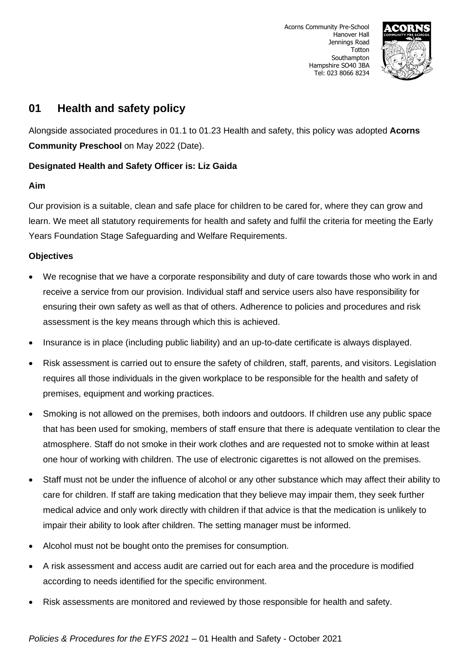

# **01 Health and safety policy**

Alongside associated procedures in 01.1 to 01.23 Health and safety, this policy was adopted **Acorns Community Preschool** on May 2022 (Date).

### **Designated Health and Safety Officer is: Liz Gaida**

### **Aim**

Our provision is a suitable, clean and safe place for children to be cared for, where they can grow and learn. We meet all statutory requirements for health and safety and fulfil the criteria for meeting the Early Years Foundation Stage Safeguarding and Welfare Requirements.

### **Objectives**

- We recognise that we have a corporate responsibility and duty of care towards those who work in and receive a service from our provision. Individual staff and service users also have responsibility for ensuring their own safety as well as that of others. Adherence to policies and procedures and risk assessment is the key means through which this is achieved.
- Insurance is in place (including public liability) and an up-to-date certificate is always displayed.
- Risk assessment is carried out to ensure the safety of children, staff, parents, and visitors. Legislation requires all those individuals in the given workplace to be responsible for the health and safety of premises, equipment and working practices.
- Smoking is not allowed on the premises, both indoors and outdoors. If children use any public space that has been used for smoking, members of staff ensure that there is adequate ventilation to clear the atmosphere. Staff do not smoke in their work clothes and are requested not to smoke within at least one hour of working with children. The use of electronic cigarettes is not allowed on the premises.
- Staff must not be under the influence of alcohol or any other substance which may affect their ability to care for children. If staff are taking medication that they believe may impair them, they seek further medical advice and only work directly with children if that advice is that the medication is unlikely to impair their ability to look after children. The setting manager must be informed.
- Alcohol must not be bought onto the premises for consumption.
- A risk assessment and access audit are carried out for each area and the procedure is modified according to needs identified for the specific environment.
- Risk assessments are monitored and reviewed by those responsible for health and safety.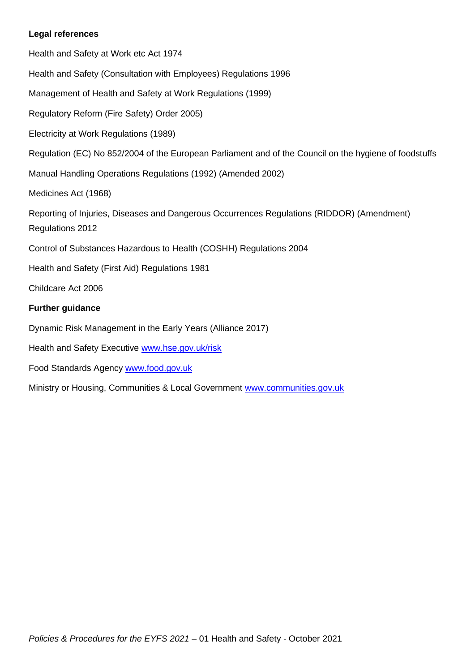### **Legal references**

Health and Safety at Work etc Act 1974 Health and Safety (Consultation with Employees) Regulations 1996 Management of Health and Safety at Work Regulations (1999) Regulatory Reform (Fire Safety) Order 2005) Electricity at Work Regulations (1989) Regulation (EC) No 852/2004 of the European Parliament and of the Council on the hygiene of foodstuffs Manual Handling Operations Regulations (1992) (Amended 2002) Medicines Act (1968) Reporting of Injuries, Diseases and Dangerous Occurrences Regulations (RIDDOR) (Amendment) Regulations 2012 Control of Substances Hazardous to Health (COSHH) Regulations 2004 Health and Safety (First Aid) Regulations 1981 Childcare Act 2006 **Further guidance** Dynamic Risk Management in the Early Years (Alliance 2017) Health and Safety Executive www.hse.gov.uk/risk Food Standards Agency [www.food.gov.uk](http://www.fod.gov.uk/)

Ministry or Housing, Communities & Local Government [www.communities.gov.uk](https://preschoolla.sharepoint.com/sites/COMM/Shared%20Documents/Pubs/Pubs%20Print%20Promo/Pub%20Drafts/A026%20Policies%20&%20Procedures%20for%20the%20EYFS%202021/A026%20FINAL/www.communities.gov.uk)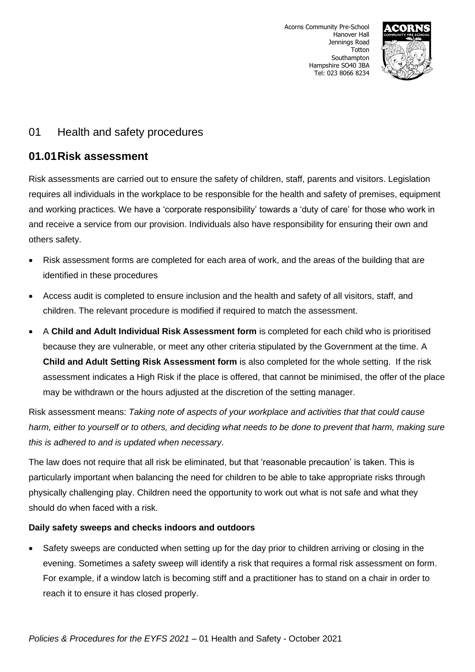

### 01 Health and safety procedures

### **01.01Risk assessment**

Risk assessments are carried out to ensure the safety of children, staff, parents and visitors. Legislation requires all individuals in the workplace to be responsible for the health and safety of premises, equipment and working practices. We have a 'corporate responsibility' towards a 'duty of care' for those who work in and receive a service from our provision. Individuals also have responsibility for ensuring their own and others safety.

- Risk assessment forms are completed for each area of work, and the areas of the building that are identified in these procedures
- Access audit is completed to ensure inclusion and the health and safety of all visitors, staff, and children. The relevant procedure is modified if required to match the assessment.
- A **Child and Adult Individual Risk Assessment form** is completed for each child who is prioritised because they are vulnerable, or meet any other criteria stipulated by the Government at the time. A **Child and Adult Setting Risk Assessment form** is also completed for the whole setting. If the risk assessment indicates a High Risk if the place is offered, that cannot be minimised, the offer of the place may be withdrawn or the hours adjusted at the discretion of the setting manager.

Risk assessment means: *Taking note of aspects of your workplace and activities that that could cause harm, either to yourself or to others, and deciding what needs to be done to prevent that harm, making sure this is adhered to and is updated when necessary*.

The law does not require that all risk be eliminated, but that 'reasonable precaution' is taken. This is particularly important when balancing the need for children to be able to take appropriate risks through physically challenging play. Children need the opportunity to work out what is not safe and what they should do when faced with a risk.

### **Daily safety sweeps and checks indoors and outdoors**

Safety sweeps are conducted when setting up for the day prior to children arriving or closing in the evening. Sometimes a safety sweep will identify a risk that requires a formal risk assessment on form. For example, if a window latch is becoming stiff and a practitioner has to stand on a chair in order to reach it to ensure it has closed properly.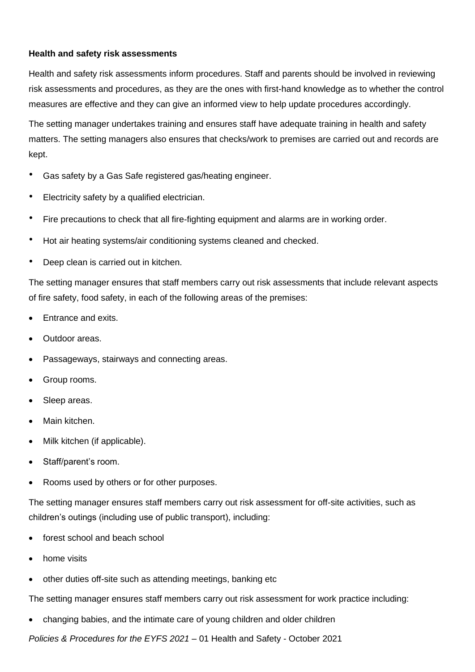#### **Health and safety risk assessments**

Health and safety risk assessments inform procedures. Staff and parents should be involved in reviewing risk assessments and procedures, as they are the ones with first-hand knowledge as to whether the control measures are effective and they can give an informed view to help update procedures accordingly.

The setting manager undertakes training and ensures staff have adequate training in health and safety matters. The setting managers also ensures that checks/work to premises are carried out and records are kept.

- Gas safety by a Gas Safe registered gas/heating engineer.
- Electricity safety by a qualified electrician.
- Fire precautions to check that all fire-fighting equipment and alarms are in working order.
- Hot air heating systems/air conditioning systems cleaned and checked.
- Deep clean is carried out in kitchen.

The setting manager ensures that staff members carry out risk assessments that include relevant aspects of fire safety, food safety, in each of the following areas of the premises:

- Entrance and exits.
- Outdoor areas.
- Passageways, stairways and connecting areas.
- Group rooms.
- Sleep areas.
- Main kitchen.
- Milk kitchen (if applicable).
- Staff/parent's room.
- Rooms used by others or for other purposes.

The setting manager ensures staff members carry out risk assessment for off-site activities, such as children's outings (including use of public transport), including:

- forest school and beach school
- home visits
- other duties off-site such as attending meetings, banking etc

The setting manager ensures staff members carry out risk assessment for work practice including:

• changing babies, and the intimate care of young children and older children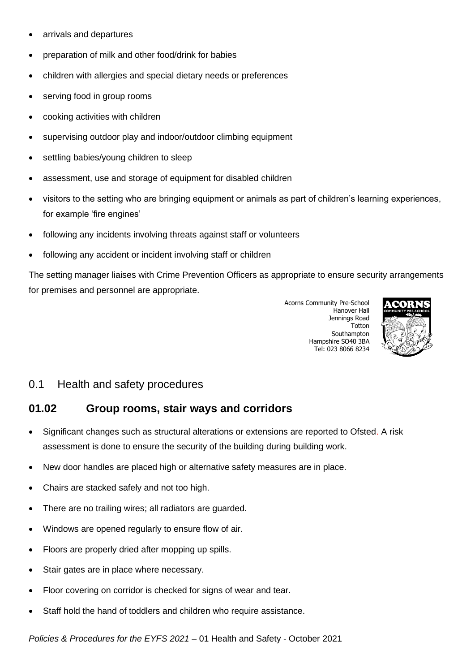- arrivals and departures
- preparation of milk and other food/drink for babies
- children with allergies and special dietary needs or preferences
- serving food in group rooms
- cooking activities with children
- supervising outdoor play and indoor/outdoor climbing equipment
- settling babies/young children to sleep
- assessment, use and storage of equipment for disabled children
- visitors to the setting who are bringing equipment or animals as part of children's learning experiences, for example 'fire engines'
- following any incidents involving threats against staff or volunteers
- following any accident or incident involving staff or children

The setting manager liaises with Crime Prevention Officers as appropriate to ensure security arrangements for premises and personnel are appropriate.

> Acorns Community Pre-School Hanover Hall Jennings Road **Totton** Southampton Hampshire SO40 3BA Tel: 023 8066 8234



### 0.1 Health and safety procedures

### **01.02 Group rooms, stair ways and corridors**

- Significant changes such as structural alterations or extensions are reported to Ofsted. A risk assessment is done to ensure the security of the building during building work.
- New door handles are placed high or alternative safety measures are in place.
- Chairs are stacked safely and not too high.
- There are no trailing wires; all radiators are guarded.
- Windows are opened regularly to ensure flow of air.
- Floors are properly dried after mopping up spills.
- Stair gates are in place where necessary.
- Floor covering on corridor is checked for signs of wear and tear.
- Staff hold the hand of toddlers and children who require assistance.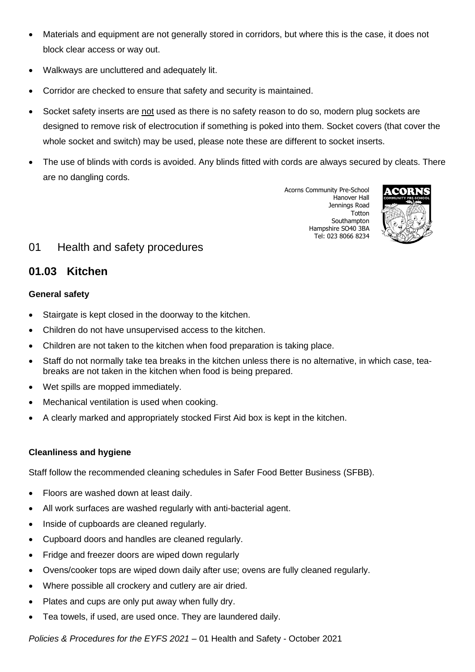- Materials and equipment are not generally stored in corridors, but where this is the case, it does not block clear access or way out.
- Walkways are uncluttered and adequately lit.
- Corridor are checked to ensure that safety and security is maintained.
- Socket safety inserts are not used as there is no safety reason to do so, modern plug sockets are designed to remove risk of electrocution if something is poked into them. Socket covers (that cover the whole socket and switch) may be used, please note these are different to socket inserts.
- The use of blinds with cords is avoided. Any blinds fitted with cords are always secured by cleats. There are no dangling cords.



### 01 Health and safety procedures

# **01.03 Kitchen**

### **General safety**

- Stairgate is kept closed in the doorway to the kitchen.
- Children do not have unsupervised access to the kitchen.
- Children are not taken to the kitchen when food preparation is taking place.
- Staff do not normally take tea breaks in the kitchen unless there is no alternative, in which case, teabreaks are not taken in the kitchen when food is being prepared.
- Wet spills are mopped immediately.
- Mechanical ventilation is used when cooking.
- A clearly marked and appropriately stocked First Aid box is kept in the kitchen.

### **Cleanliness and hygiene**

Staff follow the recommended cleaning schedules in Safer Food Better Business (SFBB).

- Floors are washed down at least daily.
- All work surfaces are washed regularly with anti-bacterial agent.
- Inside of cupboards are cleaned regularly.
- Cupboard doors and handles are cleaned regularly.
- Fridge and freezer doors are wiped down regularly
- Ovens/cooker tops are wiped down daily after use; ovens are fully cleaned regularly.
- Where possible all crockery and cutlery are air dried.
- Plates and cups are only put away when fully dry.
- Tea towels, if used, are used once. They are laundered daily.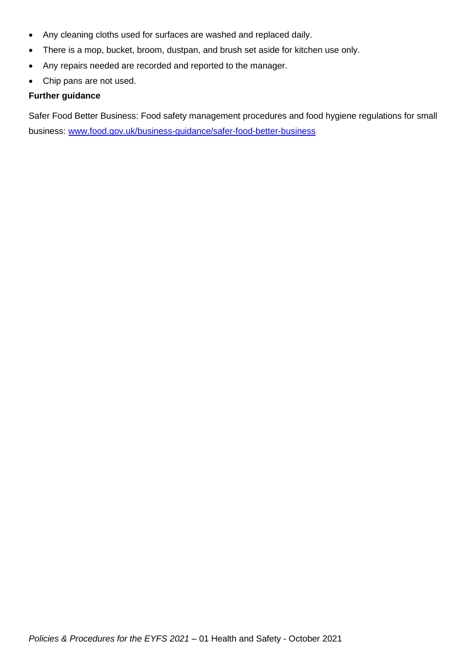- Any cleaning cloths used for surfaces are washed and replaced daily.
- There is a mop, bucket, broom, dustpan, and brush set aside for kitchen use only.
- Any repairs needed are recorded and reported to the manager.
- Chip pans are not used.

### **Further guidance**

Safer Food Better Business: Food safety management procedures and food hygiene regulations for small business: [www.food.gov.uk/business-guidance/safer-food-better-business](http://www.food.gov.uk/business-guidance/safer-food-better-business)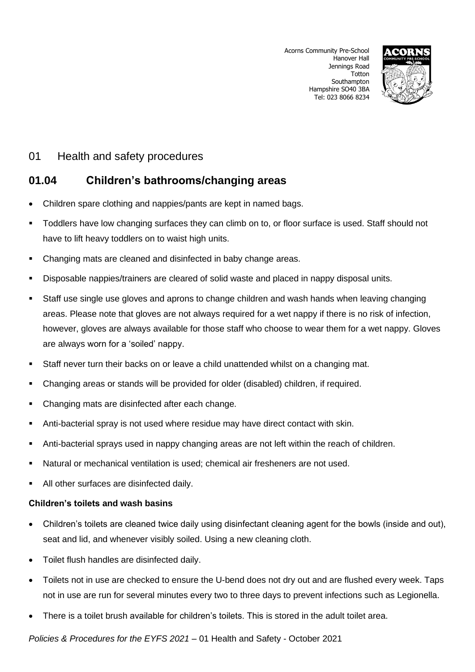

# 01 Health and safety procedures

# **01.04 Children's bathrooms/changing areas**

- Children spare clothing and nappies/pants are kept in named bags.
- Toddlers have low changing surfaces they can climb on to, or floor surface is used. Staff should not have to lift heavy toddlers on to waist high units.
- Changing mats are cleaned and disinfected in baby change areas.
- Disposable nappies/trainers are cleared of solid waste and placed in nappy disposal units.
- Staff use single use gloves and aprons to change children and wash hands when leaving changing areas. Please note that gloves are not always required for a wet nappy if there is no risk of infection, however, gloves are always available for those staff who choose to wear them for a wet nappy. Gloves are always worn for a 'soiled' nappy.
- Staff never turn their backs on or leave a child unattended whilst on a changing mat.
- Changing areas or stands will be provided for older (disabled) children, if required.
- Changing mats are disinfected after each change.
- Anti-bacterial spray is not used where residue may have direct contact with skin.
- Anti-bacterial sprays used in nappy changing areas are not left within the reach of children.
- Natural or mechanical ventilation is used; chemical air fresheners are not used.
- All other surfaces are disinfected daily.

#### **Children's toilets and wash basins**

- Children's toilets are cleaned twice daily using disinfectant cleaning agent for the bowls (inside and out), seat and lid, and whenever visibly soiled. Using a new cleaning cloth.
- Toilet flush handles are disinfected daily.
- Toilets not in use are checked to ensure the U-bend does not dry out and are flushed every week. Taps not in use are run for several minutes every two to three days to prevent infections such as Legionella.
- There is a toilet brush available for children's toilets. This is stored in the adult toilet area.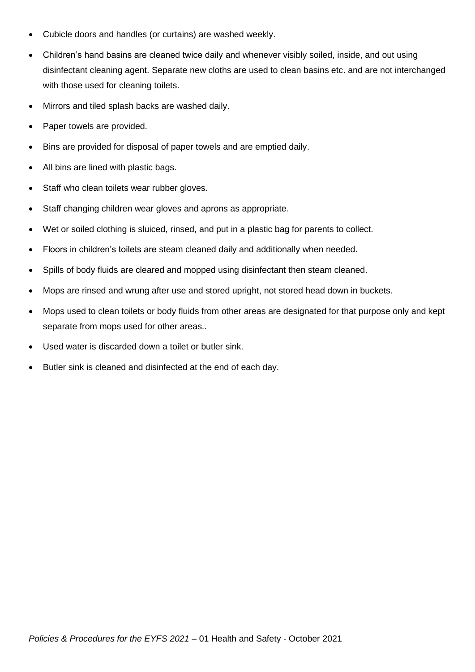- Cubicle doors and handles (or curtains) are washed weekly.
- Children's hand basins are cleaned twice daily and whenever visibly soiled, inside, and out using disinfectant cleaning agent. Separate new cloths are used to clean basins etc. and are not interchanged with those used for cleaning toilets.
- Mirrors and tiled splash backs are washed daily.
- Paper towels are provided.
- Bins are provided for disposal of paper towels and are emptied daily.
- All bins are lined with plastic bags.
- Staff who clean toilets wear rubber gloves.
- Staff changing children wear gloves and aprons as appropriate.
- Wet or soiled clothing is sluiced, rinsed, and put in a plastic bag for parents to collect.
- Floors in children's toilets are steam cleaned daily and additionally when needed.
- Spills of body fluids are cleared and mopped using disinfectant then steam cleaned.
- Mops are rinsed and wrung after use and stored upright, not stored head down in buckets.
- Mops used to clean toilets or body fluids from other areas are designated for that purpose only and kept separate from mops used for other areas..
- Used water is discarded down a toilet or butler sink.
- Butler sink is cleaned and disinfected at the end of each day.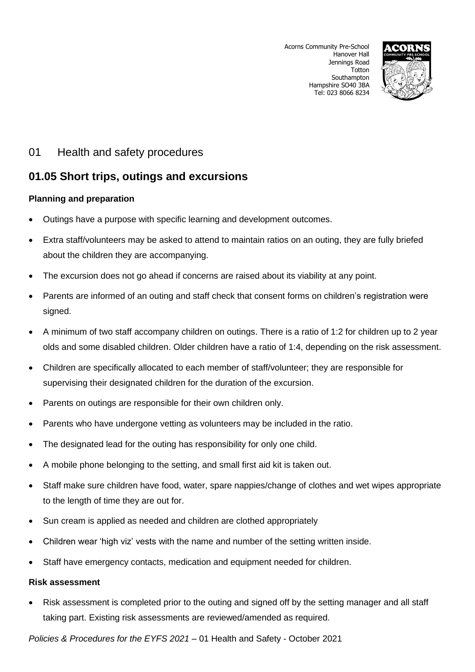

### 01 Health and safety procedures

# **01.05 Short trips, outings and excursions**

### **Planning and preparation**

- Outings have a purpose with specific learning and development outcomes.
- Extra staff/volunteers may be asked to attend to maintain ratios on an outing, they are fully briefed about the children they are accompanying.
- The excursion does not go ahead if concerns are raised about its viability at any point.
- Parents are informed of an outing and staff check that consent forms on children's registration were signed.
- A minimum of two staff accompany children on outings. There is a ratio of 1:2 for children up to 2 year olds and some disabled children. Older children have a ratio of 1:4, depending on the risk assessment.
- Children are specifically allocated to each member of staff/volunteer; they are responsible for supervising their designated children for the duration of the excursion.
- Parents on outings are responsible for their own children only.
- Parents who have undergone vetting as volunteers may be included in the ratio.
- The designated lead for the outing has responsibility for only one child.
- A mobile phone belonging to the setting, and small first aid kit is taken out.
- Staff make sure children have food, water, spare nappies/change of clothes and wet wipes appropriate to the length of time they are out for.
- Sun cream is applied as needed and children are clothed appropriately
- Children wear 'high viz' vests with the name and number of the setting written inside.
- Staff have emergency contacts, medication and equipment needed for children.

#### **Risk assessment**

• Risk assessment is completed prior to the outing and signed off by the setting manager and all staff taking part. Existing risk assessments are reviewed/amended as required.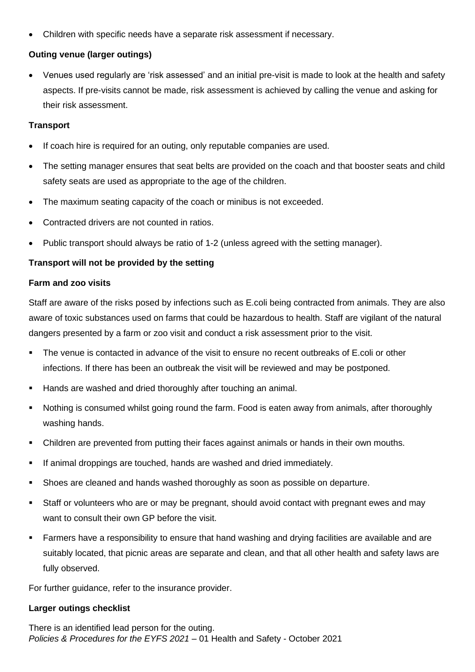• Children with specific needs have a separate risk assessment if necessary.

### **Outing venue (larger outings)**

• Venues used regularly are 'risk assessed' and an initial pre-visit is made to look at the health and safety aspects. If pre-visits cannot be made, risk assessment is achieved by calling the venue and asking for their risk assessment.

### **Transport**

- If coach hire is required for an outing, only reputable companies are used.
- The setting manager ensures that seat belts are provided on the coach and that booster seats and child safety seats are used as appropriate to the age of the children.
- The maximum seating capacity of the coach or minibus is not exceeded.
- Contracted drivers are not counted in ratios.
- Public transport should always be ratio of 1-2 (unless agreed with the setting manager).

### **Transport will not be provided by the setting**

### **Farm and zoo visits**

Staff are aware of the risks posed by infections such as E.coli being contracted from animals. They are also aware of toxic substances used on farms that could be hazardous to health. Staff are vigilant of the natural dangers presented by a farm or zoo visit and conduct a risk assessment prior to the visit.

- The venue is contacted in advance of the visit to ensure no recent outbreaks of E.coli or other infections. If there has been an outbreak the visit will be reviewed and may be postponed.
- **E** Hands are washed and dried thoroughly after touching an animal.
- Nothing is consumed whilst going round the farm. Food is eaten away from animals, after thoroughly washing hands.
- **•** Children are prevented from putting their faces against animals or hands in their own mouths.
- **.** If animal droppings are touched, hands are washed and dried immediately.
- Shoes are cleaned and hands washed thoroughly as soon as possible on departure.
- Staff or volunteers who are or may be pregnant, should avoid contact with pregnant ewes and may want to consult their own GP before the visit.
- Farmers have a responsibility to ensure that hand washing and drying facilities are available and are suitably located, that picnic areas are separate and clean, and that all other health and safety laws are fully observed.

For further guidance, refer to the insurance provider.

#### **Larger outings checklist**

*Policies & Procedures for the EYFS 2021* – 01 Health and Safety - October 2021 There is an identified lead person for the outing.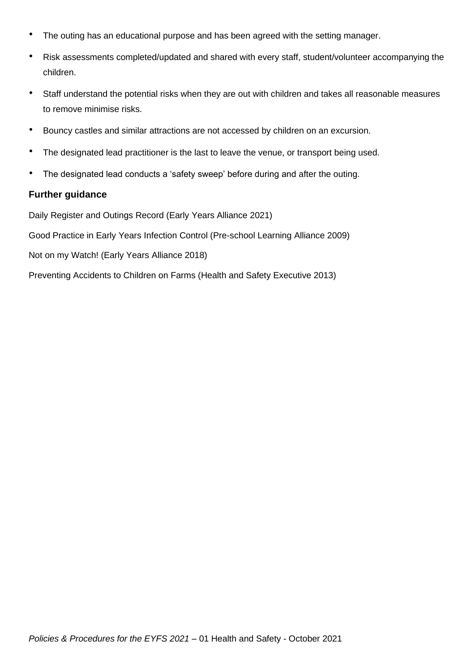- The outing has an educational purpose and has been agreed with the setting manager.
- Risk assessments completed/updated and shared with every staff, student/volunteer accompanying the children.
- Staff understand the potential risks when they are out with children and takes all reasonable measures to remove minimise risks.
- Bouncy castles and similar attractions are not accessed by children on an excursion.
- The designated lead practitioner is the last to leave the venue, or transport being used.
- The designated lead conducts a 'safety sweep' before during and after the outing.

### **Further guidance**

Daily Register and Outings Record (Early Years Alliance 2021)

Good Practice in Early Years Infection Control (Pre-school Learning Alliance 2009)

Not on my Watch! (Early Years Alliance 2018)

Preventing Accidents to Children on Farms (Health and Safety Executive 2013)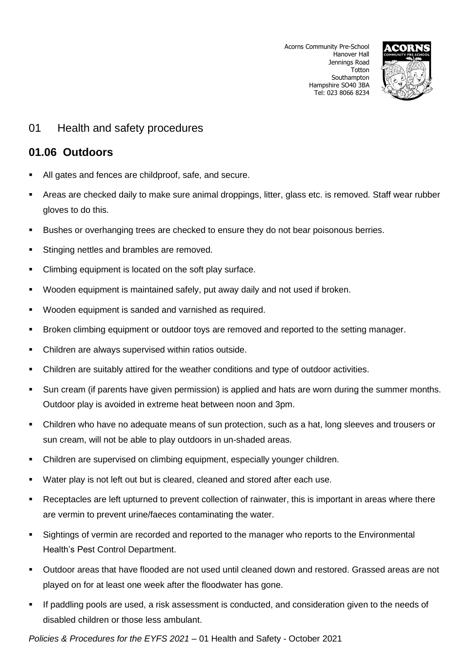

### 01 Health and safety procedures

### **01.06 Outdoors**

- All gates and fences are childproof, safe, and secure.
- Areas are checked daily to make sure animal droppings, litter, glass etc. is removed. Staff wear rubber gloves to do this.
- Bushes or overhanging trees are checked to ensure they do not bear poisonous berries.
- Stinging nettles and brambles are removed.
- Climbing equipment is located on the soft play surface.
- Wooden equipment is maintained safely, put away daily and not used if broken.
- Wooden equipment is sanded and varnished as required.
- Broken climbing equipment or outdoor toys are removed and reported to the setting manager.
- Children are always supervised within ratios outside.
- Children are suitably attired for the weather conditions and type of outdoor activities.
- Sun cream (if parents have given permission) is applied and hats are worn during the summer months. Outdoor play is avoided in extreme heat between noon and 3pm.
- Children who have no adequate means of sun protection, such as a hat, long sleeves and trousers or sun cream, will not be able to play outdoors in un-shaded areas.
- Children are supervised on climbing equipment, especially younger children.
- Water play is not left out but is cleared, cleaned and stored after each use.
- Receptacles are left upturned to prevent collection of rainwater, this is important in areas where there are vermin to prevent urine/faeces contaminating the water.
- Sightings of vermin are recorded and reported to the manager who reports to the Environmental Health's Pest Control Department.
- Outdoor areas that have flooded are not used until cleaned down and restored. Grassed areas are not played on for at least one week after the floodwater has gone.
- If paddling pools are used, a risk assessment is conducted, and consideration given to the needs of disabled children or those less ambulant.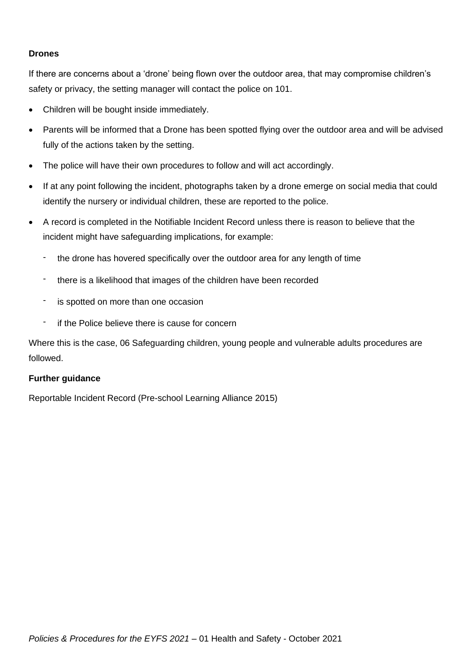#### **Drones**

If there are concerns about a 'drone' being flown over the outdoor area, that may compromise children's safety or privacy, the setting manager will contact the police on 101.

- Children will be bought inside immediately.
- Parents will be informed that a Drone has been spotted flying over the outdoor area and will be advised fully of the actions taken by the setting.
- The police will have their own procedures to follow and will act accordingly.
- If at any point following the incident, photographs taken by a drone emerge on social media that could identify the nursery or individual children, these are reported to the police.
- A record is completed in the Notifiable Incident Record unless there is reason to believe that the incident might have safeguarding implications, for example:
	- the drone has hovered specifically over the outdoor area for any length of time
	- there is a likelihood that images of the children have been recorded
	- is spotted on more than one occasion
	- if the Police believe there is cause for concern

Where this is the case, 06 Safeguarding children, young people and vulnerable adults procedures are followed.

#### **Further guidance**

Reportable Incident Record (Pre-school Learning Alliance 2015)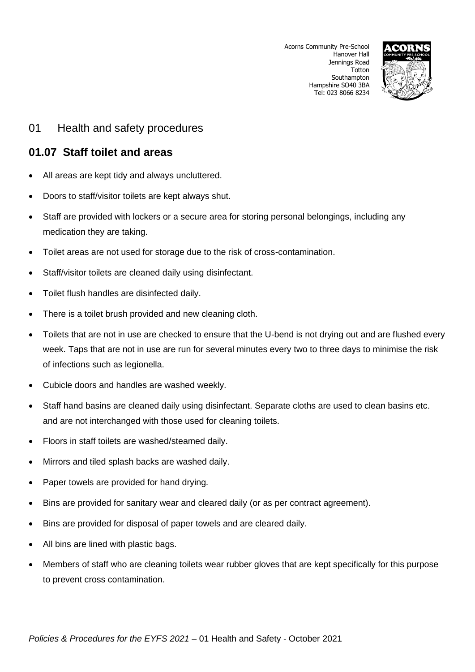

### 01 Health and safety procedures

### **01.07 Staff toilet and areas**

- All areas are kept tidy and always uncluttered.
- Doors to staff/visitor toilets are kept always shut.
- Staff are provided with lockers or a secure area for storing personal belongings, including any medication they are taking.
- Toilet areas are not used for storage due to the risk of cross-contamination.
- Staff/visitor toilets are cleaned daily using disinfectant.
- Toilet flush handles are disinfected daily.
- There is a toilet brush provided and new cleaning cloth.
- Toilets that are not in use are checked to ensure that the U-bend is not drying out and are flushed every week. Taps that are not in use are run for several minutes every two to three days to minimise the risk of infections such as legionella.
- Cubicle doors and handles are washed weekly.
- Staff hand basins are cleaned daily using disinfectant. Separate cloths are used to clean basins etc. and are not interchanged with those used for cleaning toilets.
- Floors in staff toilets are washed/steamed daily.
- Mirrors and tiled splash backs are washed daily.
- Paper towels are provided for hand drying.
- Bins are provided for sanitary wear and cleared daily (or as per contract agreement).
- Bins are provided for disposal of paper towels and are cleared daily.
- All bins are lined with plastic bags.
- Members of staff who are cleaning toilets wear rubber gloves that are kept specifically for this purpose to prevent cross contamination.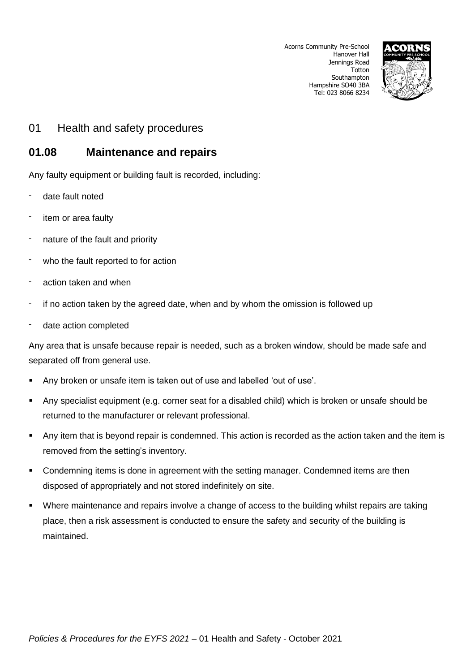

# 01 Health and safety procedures

### **01.08 Maintenance and repairs**

Any faulty equipment or building fault is recorded, including:

- date fault noted
- item or area faulty
- nature of the fault and priority
- who the fault reported to for action
- action taken and when
- if no action taken by the agreed date, when and by whom the omission is followed up
- date action completed

Any area that is unsafe because repair is needed, such as a broken window, should be made safe and separated off from general use.

- Any broken or unsafe item is taken out of use and labelled 'out of use'.
- Any specialist equipment (e.g. corner seat for a disabled child) which is broken or unsafe should be returned to the manufacturer or relevant professional.
- Any item that is beyond repair is condemned. This action is recorded as the action taken and the item is removed from the setting's inventory.
- Condemning items is done in agreement with the setting manager. Condemned items are then disposed of appropriately and not stored indefinitely on site.
- Where maintenance and repairs involve a change of access to the building whilst repairs are taking place, then a risk assessment is conducted to ensure the safety and security of the building is maintained.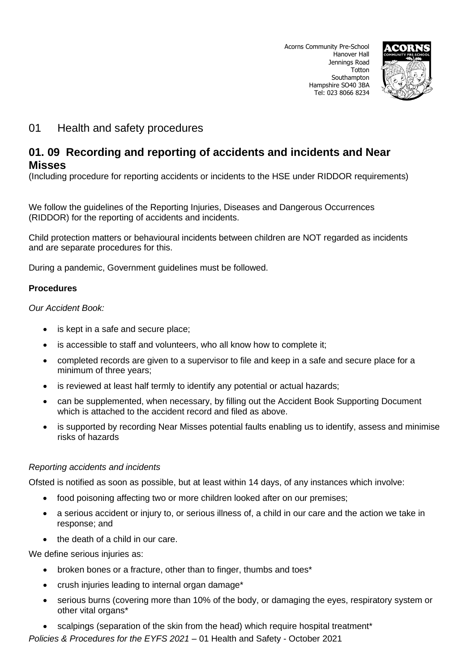

# 01 Health and safety procedures

### **01. 09 Recording and reporting of accidents and incidents and Near Misses**

(Including procedure for reporting accidents or incidents to the HSE under RIDDOR requirements)

We follow the guidelines of the Reporting Injuries, Diseases and Dangerous Occurrences (RIDDOR) for the reporting of accidents and incidents.

Child protection matters or behavioural incidents between children are NOT regarded as incidents and are separate procedures for this.

During a pandemic, Government guidelines must be followed.

#### **Procedures**

*Our Accident Book:*

- is kept in a safe and secure place;
- is accessible to staff and volunteers, who all know how to complete it;
- completed records are given to a supervisor to file and keep in a safe and secure place for a minimum of three years;
- is reviewed at least half termly to identify any potential or actual hazards;
- can be supplemented, when necessary, by filling out the Accident Book Supporting Document which is attached to the accident record and filed as above.
- is supported by recording Near Misses potential faults enabling us to identify, assess and minimise risks of hazards

#### *Reporting accidents and incidents*

Ofsted is notified as soon as possible, but at least within 14 days, of any instances which involve:

- food poisoning affecting two or more children looked after on our premises;
- a serious accident or injury to, or serious illness of, a child in our care and the action we take in response; and
- the death of a child in our care.

We define serious injuries as:

- broken bones or a fracture, other than to finger, thumbs and toes\*
- crush injuries leading to internal organ damage\*
- serious burns (covering more than 10% of the body, or damaging the eyes, respiratory system or other vital organs\*
- scalpings (separation of the skin from the head) which require hospital treatment\*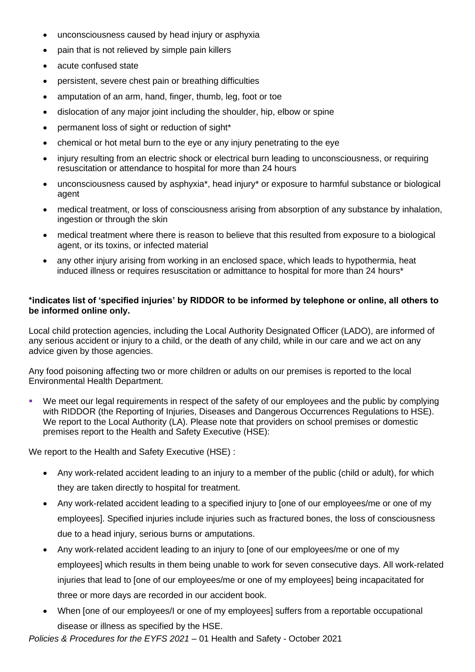- unconsciousness caused by head injury or asphyxia
- pain that is not relieved by simple pain killers
- acute confused state
- persistent, severe chest pain or breathing difficulties
- amputation of an arm, hand, finger, thumb, leg, foot or toe
- dislocation of any major joint including the shoulder, hip, elbow or spine
- permanent loss of sight or reduction of sight\*
- chemical or hot metal burn to the eye or any injury penetrating to the eye
- injury resulting from an electric shock or electrical burn leading to unconsciousness, or requiring resuscitation or attendance to hospital for more than 24 hours
- unconsciousness caused by asphyxia\*, head injury\* or exposure to harmful substance or biological agent
- medical treatment, or loss of consciousness arising from absorption of any substance by inhalation, ingestion or through the skin
- medical treatment where there is reason to believe that this resulted from exposure to a biological agent, or its toxins, or infected material
- any other injury arising from working in an enclosed space, which leads to hypothermia, heat induced illness or requires resuscitation or admittance to hospital for more than 24 hours\*

### **\*indicates list of 'specified injuries' by RIDDOR to be informed by telephone or online, all others to be informed online only.**

Local child protection agencies, including the Local Authority Designated Officer (LADO), are informed of any serious accident or injury to a child, or the death of any child, while in our care and we act on any advice given by those agencies.

Any food poisoning affecting two or more children or adults on our premises is reported to the local Environmental Health Department.

We meet our legal requirements in respect of the safety of our employees and the public by complying with RIDDOR (the Reporting of Injuries, Diseases and Dangerous Occurrences Regulations to HSE). We report to the Local Authority (LA). Please note that providers on school premises or domestic premises report to the Health and Safety Executive (HSE):

We report to the Health and Safety Executive (HSE) :

- Any work-related accident leading to an injury to a member of the public (child or adult), for which they are taken directly to hospital for treatment.
- Any work-related accident leading to a specified injury to [one of our employees/me or one of my employees]. Specified injuries include injuries such as fractured bones, the loss of consciousness due to a head injury, serious burns or amputations.
- Any work-related accident leading to an injury to [one of our employees/me or one of my employees] which results in them being unable to work for seven consecutive days. All work-related injuries that lead to [one of our employees/me or one of my employees] being incapacitated for three or more days are recorded in our accident book.
- When [one of our employees/I or one of my employees] suffers from a reportable occupational disease or illness as specified by the HSE.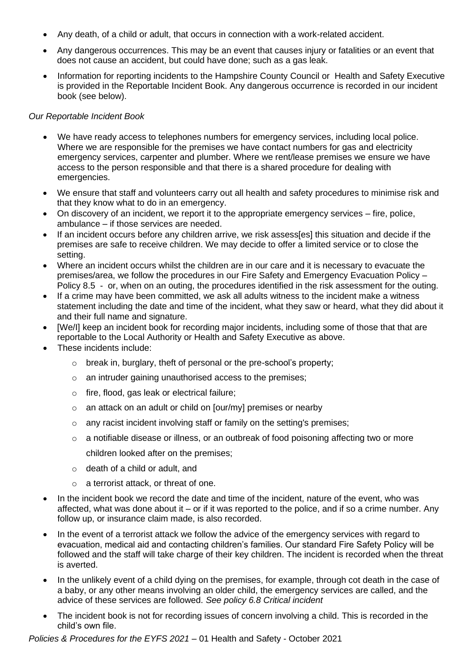- Any death, of a child or adult, that occurs in connection with a work-related accident.
- Any dangerous occurrences. This may be an event that causes injury or fatalities or an event that does not cause an accident, but could have done; such as a gas leak.
- Information for reporting incidents to the Hampshire County Council or Health and Safety Executive is provided in the Reportable Incident Book. Any dangerous occurrence is recorded in our incident book (see below).

#### *Our Reportable Incident Book*

- We have ready access to telephones numbers for emergency services, including local police. Where we are responsible for the premises we have contact numbers for gas and electricity emergency services, carpenter and plumber. Where we rent/lease premises we ensure we have access to the person responsible and that there is a shared procedure for dealing with emergencies.
- We ensure that staff and volunteers carry out all health and safety procedures to minimise risk and that they know what to do in an emergency.
- On discovery of an incident, we report it to the appropriate emergency services fire, police, ambulance – if those services are needed.
- If an incident occurs before any children arrive, we risk assess[es] this situation and decide if the premises are safe to receive children. We may decide to offer a limited service or to close the setting.
- Where an incident occurs whilst the children are in our care and it is necessary to evacuate the premises/area, we follow the procedures in our Fire Safety and Emergency Evacuation Policy – Policy 8.5 - or, when on an outing, the procedures identified in the risk assessment for the outing.
- If a crime may have been committed, we ask all adults witness to the incident make a witness statement including the date and time of the incident, what they saw or heard, what they did about it and their full name and signature.
- [We/I] keep an incident book for recording major incidents, including some of those that that are reportable to the Local Authority or Health and Safety Executive as above.
- These incidents include:
	- o break in, burglary, theft of personal or the pre-school's property;
	- o an intruder gaining unauthorised access to the premises;
	- o fire, flood, gas leak or electrical failure;
	- o an attack on an adult or child on [our/my] premises or nearby
	- o any racist incident involving staff or family on the setting's premises;
	- o a notifiable disease or illness, or an outbreak of food poisoning affecting two or more children looked after on the premises;
	- o death of a child or adult, and
	- o a terrorist attack, or threat of one.
- In the incident book we record the date and time of the incident, nature of the event, who was affected, what was done about it – or if it was reported to the police, and if so a crime number. Any follow up, or insurance claim made, is also recorded.
- In the event of a terrorist attack we follow the advice of the emergency services with regard to evacuation, medical aid and contacting children's families. Our standard Fire Safety Policy will be followed and the staff will take charge of their key children. The incident is recorded when the threat is averted.
- In the unlikely event of a child dying on the premises, for example, through cot death in the case of a baby, or any other means involving an older child, the emergency services are called, and the advice of these services are followed. *See policy 6.8 Critical incident*
- The incident book is not for recording issues of concern involving a child. This is recorded in the child's own file.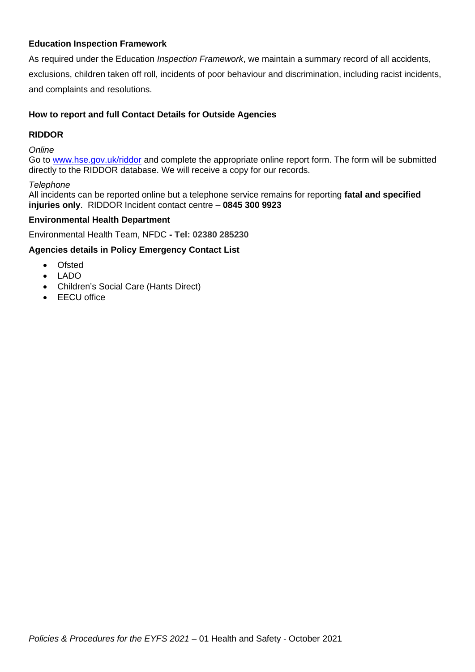### **Education Inspection Framework**

As required under the Education *Inspection Framework*, we maintain a summary record of all accidents, exclusions, children taken off roll, incidents of poor behaviour and discrimination, including racist incidents, and complaints and resolutions.

### **How to report and full Contact Details for Outside Agencies**

#### **RIDDOR**

#### *Online*

Go to [www.hse.gov.uk/riddor](http://www.hse.gov.uk/riddor) and complete the appropriate online report form. The form will be submitted directly to the RIDDOR database. We will receive a copy for our records.

#### *Telephone*

All incidents can be reported online but a telephone service remains for reporting **fatal and specified injuries only**. RIDDOR Incident contact centre – **0845 300 9923**

### **Environmental Health Department**

Environmental Health Team, NFDC **- Tel: 02380 285230**

#### **Agencies details in Policy Emergency Contact List**

- Ofsted
- LADO
- Children's Social Care (Hants Direct)
- EECU office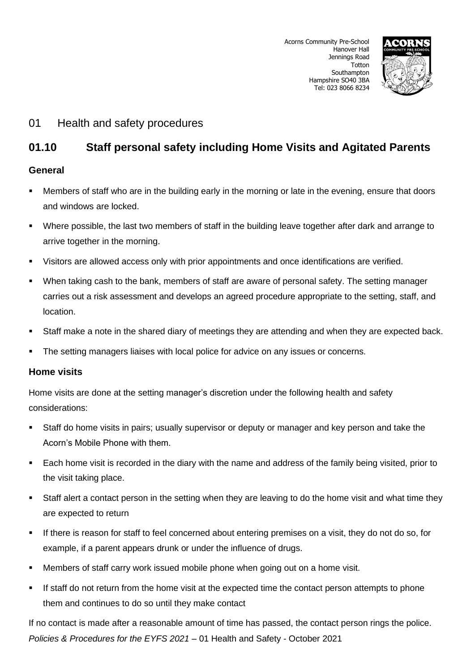

# 01 Health and safety procedures

# **01.10 Staff personal safety including Home Visits and Agitated Parents**

### **General**

- Members of staff who are in the building early in the morning or late in the evening, ensure that doors and windows are locked.
- Where possible, the last two members of staff in the building leave together after dark and arrange to arrive together in the morning.
- Visitors are allowed access only with prior appointments and once identifications are verified.
- When taking cash to the bank, members of staff are aware of personal safety. The setting manager carries out a risk assessment and develops an agreed procedure appropriate to the setting, staff, and location.
- Staff make a note in the shared diary of meetings they are attending and when they are expected back.
- The setting managers liaises with local police for advice on any issues or concerns.

### **Home visits**

Home visits are done at the setting manager's discretion under the following health and safety considerations:

- Staff do home visits in pairs; usually supervisor or deputy or manager and key person and take the Acorn's Mobile Phone with them.
- Each home visit is recorded in the diary with the name and address of the family being visited, prior to the visit taking place.
- Staff alert a contact person in the setting when they are leaving to do the home visit and what time they are expected to return
- If there is reason for staff to feel concerned about entering premises on a visit, they do not do so, for example, if a parent appears drunk or under the influence of drugs.
- Members of staff carry work issued mobile phone when going out on a home visit.
- If staff do not return from the home visit at the expected time the contact person attempts to phone them and continues to do so until they make contact

*Policies & Procedures for the EYFS 2021* – 01 Health and Safety - October 2021 If no contact is made after a reasonable amount of time has passed, the contact person rings the police.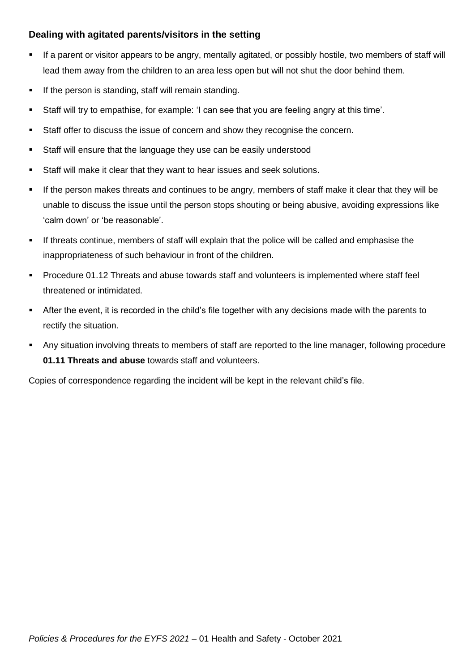### **Dealing with agitated parents/visitors in the setting**

- If a parent or visitor appears to be angry, mentally agitated, or possibly hostile, two members of staff will lead them away from the children to an area less open but will not shut the door behind them.
- **•** If the person is standing, staff will remain standing.
- Staff will try to empathise, for example: 'I can see that you are feeling angry at this time'.
- Staff offer to discuss the issue of concern and show they recognise the concern.
- Staff will ensure that the language they use can be easily understood
- Staff will make it clear that they want to hear issues and seek solutions.
- If the person makes threats and continues to be angry, members of staff make it clear that they will be unable to discuss the issue until the person stops shouting or being abusive, avoiding expressions like 'calm down' or 'be reasonable'.
- **•** If threats continue, members of staff will explain that the police will be called and emphasise the inappropriateness of such behaviour in front of the children.
- Procedure 01.12 Threats and abuse towards staff and volunteers is implemented where staff feel threatened or intimidated.
- After the event, it is recorded in the child's file together with any decisions made with the parents to rectify the situation.
- Any situation involving threats to members of staff are reported to the line manager, following procedure **01.11 Threats and abuse** towards staff and volunteers.

Copies of correspondence regarding the incident will be kept in the relevant child's file.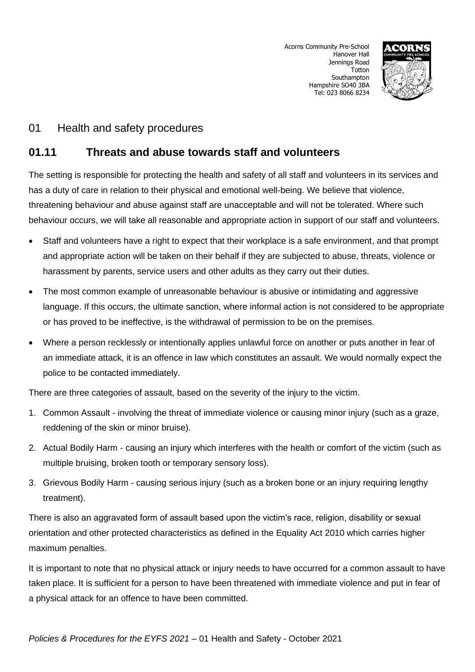

# 01 Health and safety procedures

# **01.11 Threats and abuse towards staff and volunteers**

The setting is responsible for protecting the health and safety of all staff and volunteers in its services and has a duty of care in relation to their physical and emotional well-being. We believe that violence, threatening behaviour and abuse against staff are unacceptable and will not be tolerated. Where such behaviour occurs, we will take all reasonable and appropriate action in support of our staff and volunteers.

- Staff and volunteers have a right to expect that their workplace is a safe environment, and that prompt and appropriate action will be taken on their behalf if they are subjected to abuse, threats, violence or harassment by parents, service users and other adults as they carry out their duties.
- The most common example of unreasonable behaviour is abusive or intimidating and aggressive language. If this occurs, the ultimate sanction, where informal action is not considered to be appropriate or has proved to be ineffective, is the withdrawal of permission to be on the premises.
- Where a person recklessly or intentionally applies unlawful force on another or puts another in fear of an immediate attack, it is an offence in law which constitutes an assault. We would normally expect the police to be contacted immediately.

There are three categories of assault, based on the severity of the injury to the victim.

- 1. Common Assault involving the threat of immediate violence or causing minor injury (such as a graze, reddening of the skin or minor bruise).
- 2. Actual Bodily Harm causing an injury which interferes with the health or comfort of the victim (such as multiple bruising, broken tooth or temporary sensory loss).
- 3. Grievous Bodily Harm causing serious injury (such as a broken bone or an injury requiring lengthy treatment).

There is also an aggravated form of assault based upon the victim's race, religion, disability or sexual orientation and other protected characteristics as defined in the Equality Act 2010 which carries higher maximum penalties.

It is important to note that no physical attack or injury needs to have occurred for a common assault to have taken place. It is sufficient for a person to have been threatened with immediate violence and put in fear of a physical attack for an offence to have been committed.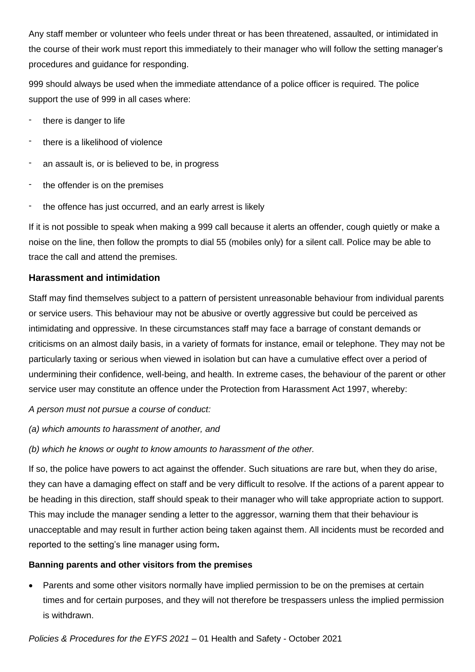Any staff member or volunteer who feels under threat or has been threatened, assaulted, or intimidated in the course of their work must report this immediately to their manager who will follow the setting manager's procedures and guidance for responding.

999 should always be used when the immediate attendance of a police officer is required. The police support the use of 999 in all cases where:

- there is danger to life
- there is a likelihood of violence
- an assault is, or is believed to be, in progress
- the offender is on the premises
- the offence has just occurred, and an early arrest is likely

If it is not possible to speak when making a 999 call because it alerts an offender, cough quietly or make a noise on the line, then follow the prompts to dial 55 (mobiles only) for a silent call. Police may be able to trace the call and attend the premises.

### **Harassment and intimidation**

Staff may find themselves subject to a pattern of persistent unreasonable behaviour from individual parents or service users. This behaviour may not be abusive or overtly aggressive but could be perceived as intimidating and oppressive. In these circumstances staff may face a barrage of constant demands or criticisms on an almost daily basis, in a variety of formats for instance, email or telephone. They may not be particularly taxing or serious when viewed in isolation but can have a cumulative effect over a period of undermining their confidence, well-being, and health. In extreme cases, the behaviour of the parent or other service user may constitute an offence under the Protection from Harassment Act 1997, whereby:

*A person must not pursue a course of conduct:*

*(a) which amounts to harassment of another, and*

*(b) which he knows or ought to know amounts to harassment of the other.*

If so, the police have powers to act against the offender. Such situations are rare but, when they do arise, they can have a damaging effect on staff and be very difficult to resolve. If the actions of a parent appear to be heading in this direction, staff should speak to their manager who will take appropriate action to support. This may include the manager sending a letter to the aggressor, warning them that their behaviour is unacceptable and may result in further action being taken against them. All incidents must be recorded and reported to the setting's line manager using form**.**

### **Banning parents and other visitors from the premises**

Parents and some other visitors normally have implied permission to be on the premises at certain times and for certain purposes, and they will not therefore be trespassers unless the implied permission is withdrawn.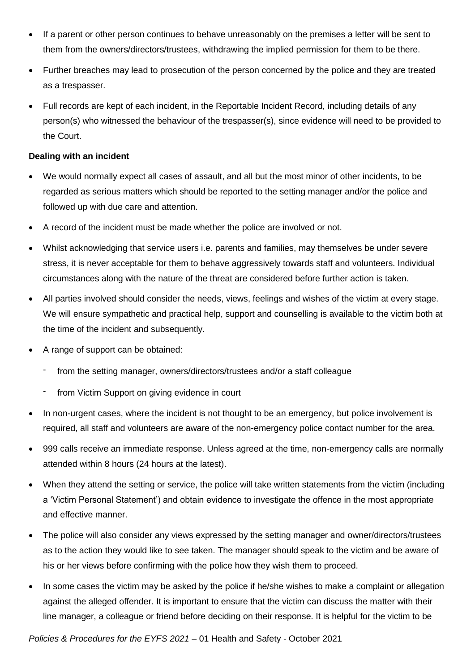- If a parent or other person continues to behave unreasonably on the premises a letter will be sent to them from the owners/directors/trustees, withdrawing the implied permission for them to be there.
- Further breaches may lead to prosecution of the person concerned by the police and they are treated as a trespasser.
- Full records are kept of each incident, in the Reportable Incident Record, including details of any person(s) who witnessed the behaviour of the trespasser(s), since evidence will need to be provided to the Court.

#### **Dealing with an incident**

- We would normally expect all cases of assault, and all but the most minor of other incidents, to be regarded as serious matters which should be reported to the setting manager and/or the police and followed up with due care and attention.
- A record of the incident must be made whether the police are involved or not.
- Whilst acknowledging that service users i.e. parents and families, may themselves be under severe stress, it is never acceptable for them to behave aggressively towards staff and volunteers. Individual circumstances along with the nature of the threat are considered before further action is taken.
- All parties involved should consider the needs, views, feelings and wishes of the victim at every stage. We will ensure sympathetic and practical help, support and counselling is available to the victim both at the time of the incident and subsequently.
- A range of support can be obtained:
	- from the setting manager, owners/directors/trustees and/or a staff colleague
	- from Victim Support on giving evidence in court
- In non-urgent cases, where the incident is not thought to be an emergency, but police involvement is required, all staff and volunteers are aware of the non-emergency police contact number for the area.
- 999 calls receive an immediate response. Unless agreed at the time, non-emergency calls are normally attended within 8 hours (24 hours at the latest).
- When they attend the setting or service, the police will take written statements from the victim (including a 'Victim Personal Statement') and obtain evidence to investigate the offence in the most appropriate and effective manner.
- The police will also consider any views expressed by the setting manager and owner/directors/trustees as to the action they would like to see taken. The manager should speak to the victim and be aware of his or her views before confirming with the police how they wish them to proceed.
- In some cases the victim may be asked by the police if he/she wishes to make a complaint or allegation against the alleged offender. It is important to ensure that the victim can discuss the matter with their line manager, a colleague or friend before deciding on their response. It is helpful for the victim to be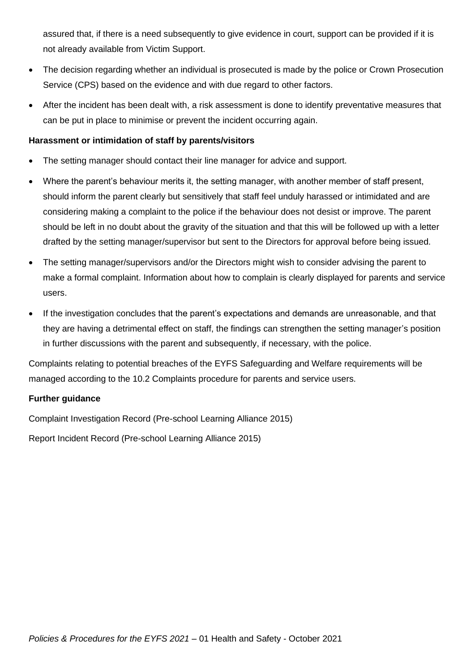assured that, if there is a need subsequently to give evidence in court, support can be provided if it is not already available from Victim Support.

- The decision regarding whether an individual is prosecuted is made by the police or Crown Prosecution Service (CPS) based on the evidence and with due regard to other factors.
- After the incident has been dealt with, a risk assessment is done to identify preventative measures that can be put in place to minimise or prevent the incident occurring again.

### **Harassment or intimidation of staff by parents/visitors**

- The setting manager should contact their line manager for advice and support.
- Where the parent's behaviour merits it, the setting manager, with another member of staff present, should inform the parent clearly but sensitively that staff feel unduly harassed or intimidated and are considering making a complaint to the police if the behaviour does not desist or improve. The parent should be left in no doubt about the gravity of the situation and that this will be followed up with a letter drafted by the setting manager/supervisor but sent to the Directors for approval before being issued.
- The setting manager/supervisors and/or the Directors might wish to consider advising the parent to make a formal complaint. Information about how to complain is clearly displayed for parents and service users.
- If the investigation concludes that the parent's expectations and demands are unreasonable, and that they are having a detrimental effect on staff, the findings can strengthen the setting manager's position in further discussions with the parent and subsequently, if necessary, with the police.

Complaints relating to potential breaches of the EYFS Safeguarding and Welfare requirements will be managed according to the 10.2 Complaints procedure for parents and service users.

### **Further guidance**

Complaint Investigation Record (Pre-school Learning Alliance 2015)

Report Incident Record (Pre-school Learning Alliance 2015)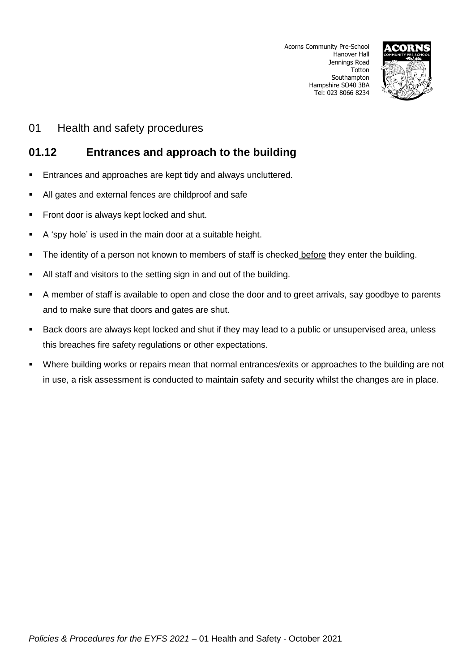

## 01 Health and safety procedures

# **01.12 Entrances and approach to the building**

- Entrances and approaches are kept tidy and always uncluttered.
- All gates and external fences are childproof and safe
- Front door is always kept locked and shut.
- A 'spy hole' is used in the main door at a suitable height.
- **•** The identity of a person not known to members of staff is checked before they enter the building.
- All staff and visitors to the setting sign in and out of the building.
- A member of staff is available to open and close the door and to greet arrivals, say goodbye to parents and to make sure that doors and gates are shut.
- Back doors are always kept locked and shut if they may lead to a public or unsupervised area, unless this breaches fire safety regulations or other expectations.
- Where building works or repairs mean that normal entrances/exits or approaches to the building are not in use, a risk assessment is conducted to maintain safety and security whilst the changes are in place.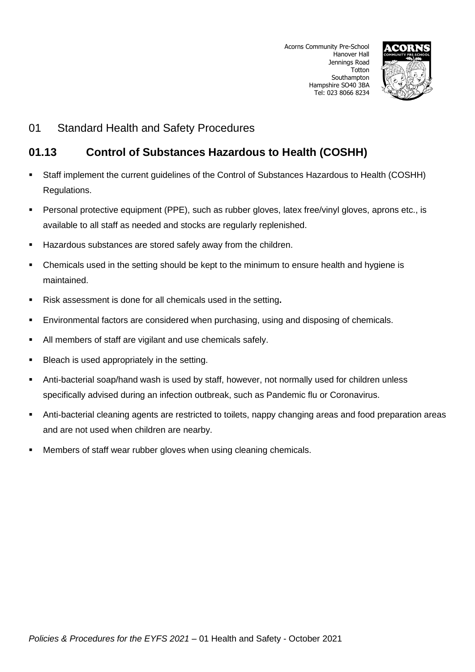

# 01 Standard Health and Safety Procedures

# **01.13 Control of Substances Hazardous to Health (COSHH)**

- Staff implement the current guidelines of the Control of Substances Hazardous to Health (COSHH) Regulations.
- Personal protective equipment (PPE), such as rubber gloves, latex free/vinyl gloves, aprons etc., is available to all staff as needed and stocks are regularly replenished.
- Hazardous substances are stored safely away from the children.
- Chemicals used in the setting should be kept to the minimum to ensure health and hygiene is maintained.
- Risk assessment is done for all chemicals used in the setting.
- Environmental factors are considered when purchasing, using and disposing of chemicals.
- All members of staff are vigilant and use chemicals safely.
- Bleach is used appropriately in the setting.
- Anti-bacterial soap/hand wash is used by staff, however, not normally used for children unless specifically advised during an infection outbreak, such as Pandemic flu or Coronavirus.
- Anti-bacterial cleaning agents are restricted to toilets, nappy changing areas and food preparation areas and are not used when children are nearby.
- Members of staff wear rubber gloves when using cleaning chemicals.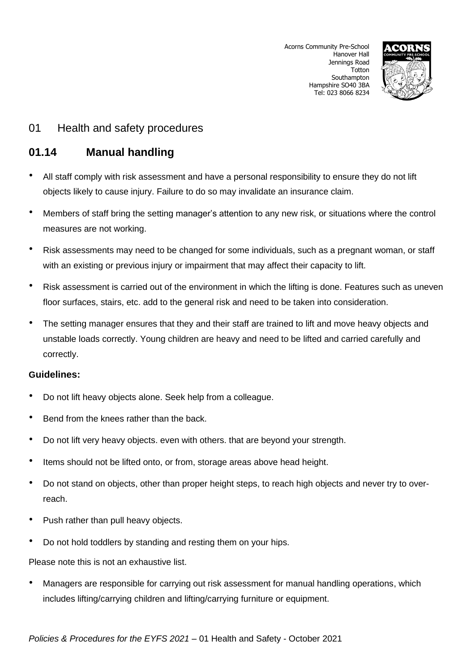

# 01 Health and safety procedures

# **01.14 Manual handling**

- All staff comply with risk assessment and have a personal responsibility to ensure they do not lift objects likely to cause injury. Failure to do so may invalidate an insurance claim.
- Members of staff bring the setting manager's attention to any new risk, or situations where the control measures are not working.
- Risk assessments may need to be changed for some individuals, such as a pregnant woman, or staff with an existing or previous injury or impairment that may affect their capacity to lift.
- Risk assessment is carried out of the environment in which the lifting is done. Features such as uneven floor surfaces, stairs, etc. add to the general risk and need to be taken into consideration.
- The setting manager ensures that they and their staff are trained to lift and move heavy objects and unstable loads correctly. Young children are heavy and need to be lifted and carried carefully and correctly.

### **Guidelines:**

- Do not lift heavy objects alone. Seek help from a colleague.
- Bend from the knees rather than the back.
- Do not lift very heavy objects. even with others. that are beyond your strength.
- Items should not be lifted onto, or from, storage areas above head height.
- Do not stand on objects, other than proper height steps, to reach high objects and never try to overreach.
- Push rather than pull heavy objects.
- Do not hold toddlers by standing and resting them on your hips.

Please note this is not an exhaustive list.

• Managers are responsible for carrying out risk assessment for manual handling operations, which includes lifting/carrying children and lifting/carrying furniture or equipment.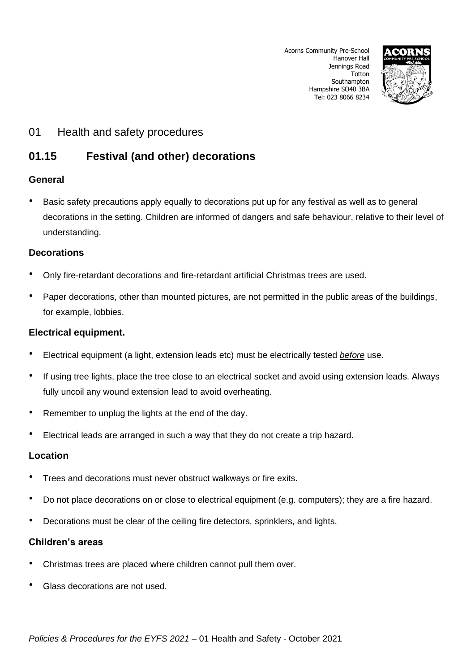

### 01 Health and safety procedures

# **01.15 Festival (and other) decorations**

### **General**

Basic safety precautions apply equally to decorations put up for any festival as well as to general decorations in the setting. Children are informed of dangers and safe behaviour, relative to their level of understanding.

### **Decorations**

- Only fire-retardant decorations and fire-retardant artificial Christmas trees are used.
- Paper decorations, other than mounted pictures, are not permitted in the public areas of the buildings, for example, lobbies.

### **Electrical equipment.**

- Electrical equipment (a light, extension leads etc) must be electrically tested *before* use.
- If using tree lights, place the tree close to an electrical socket and avoid using extension leads. Always fully uncoil any wound extension lead to avoid overheating.
- Remember to unplug the lights at the end of the day.
- Electrical leads are arranged in such a way that they do not create a trip hazard.

### **Location**

- Trees and decorations must never obstruct walkways or fire exits.
- Do not place decorations on or close to electrical equipment (e.g. computers); they are a fire hazard.
- Decorations must be clear of the ceiling fire detectors, sprinklers, and lights.

### **Children's areas**

- Christmas trees are placed where children cannot pull them over.
- Glass decorations are not used.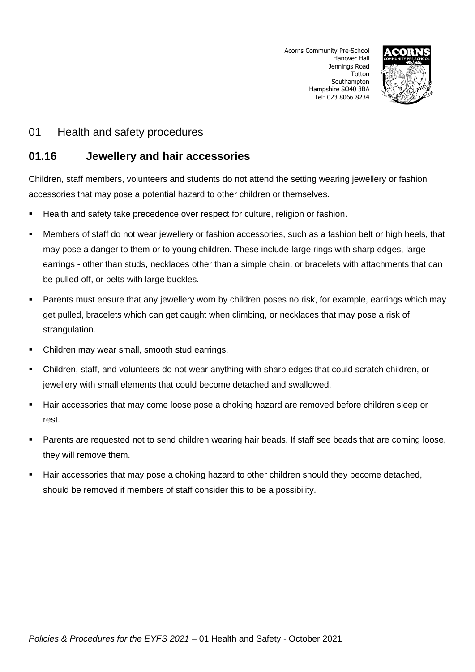

### 01 Health and safety procedures

### **01.16 Jewellery and hair accessories**

Children, staff members, volunteers and students do not attend the setting wearing jewellery or fashion accessories that may pose a potential hazard to other children or themselves.

- Health and safety take precedence over respect for culture, religion or fashion.
- Members of staff do not wear jewellery or fashion accessories, such as a fashion belt or high heels, that may pose a danger to them or to young children. These include large rings with sharp edges, large earrings - other than studs, necklaces other than a simple chain, or bracelets with attachments that can be pulled off, or belts with large buckles.
- **•** Parents must ensure that any jewellery worn by children poses no risk, for example, earrings which may get pulled, bracelets which can get caught when climbing, or necklaces that may pose a risk of strangulation.
- Children may wear small, smooth stud earrings.
- Children, staff, and volunteers do not wear anything with sharp edges that could scratch children, or jewellery with small elements that could become detached and swallowed.
- Hair accessories that may come loose pose a choking hazard are removed before children sleep or rest.
- Parents are requested not to send children wearing hair beads. If staff see beads that are coming loose, they will remove them.
- Hair accessories that may pose a choking hazard to other children should they become detached, should be removed if members of staff consider this to be a possibility.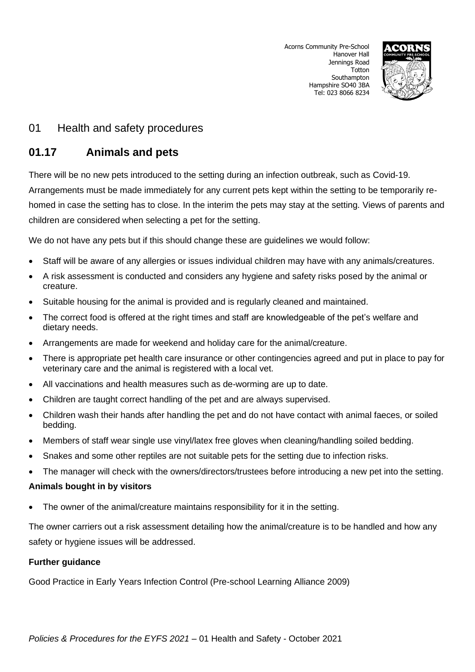

# 01 Health and safety procedures

# **01.17 Animals and pets**

There will be no new pets introduced to the setting during an infection outbreak, such as Covid-19. Arrangements must be made immediately for any current pets kept within the setting to be temporarily rehomed in case the setting has to close. In the interim the pets may stay at the setting. Views of parents and children are considered when selecting a pet for the setting.

We do not have any pets but if this should change these are guidelines we would follow:

- Staff will be aware of any allergies or issues individual children may have with any animals/creatures.
- A risk assessment is conducted and considers any hygiene and safety risks posed by the animal or creature.
- Suitable housing for the animal is provided and is regularly cleaned and maintained.
- The correct food is offered at the right times and staff are knowledgeable of the pet's welfare and dietary needs.
- Arrangements are made for weekend and holiday care for the animal/creature.
- There is appropriate pet health care insurance or other contingencies agreed and put in place to pay for veterinary care and the animal is registered with a local vet.
- All vaccinations and health measures such as de-worming are up to date.
- Children are taught correct handling of the pet and are always supervised.
- Children wash their hands after handling the pet and do not have contact with animal faeces, or soiled bedding.
- Members of staff wear single use vinyl/latex free gloves when cleaning/handling soiled bedding.
- Snakes and some other reptiles are not suitable pets for the setting due to infection risks.
- The manager will check with the owners/directors/trustees before introducing a new pet into the setting.

### **Animals bought in by visitors**

The owner of the animal/creature maintains responsibility for it in the setting.

The owner carriers out a risk assessment detailing how the animal/creature is to be handled and how any safety or hygiene issues will be addressed.

### **Further guidance**

Good Practice in Early Years Infection Control (Pre-school Learning Alliance 2009)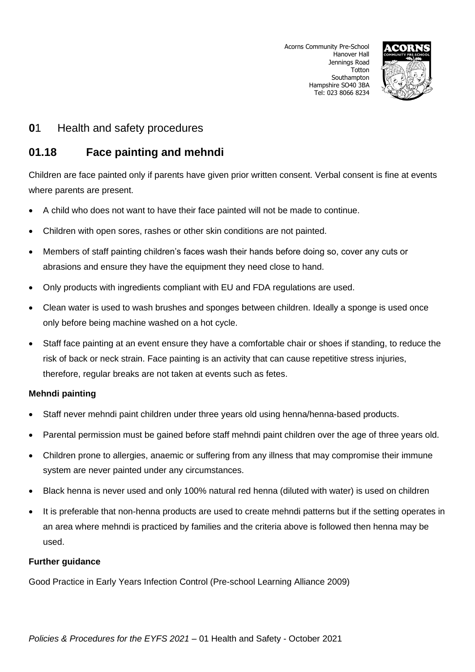

# **01** Health and safety procedures

# **01.18 Face painting and mehndi**

Children are face painted only if parents have given prior written consent. Verbal consent is fine at events where parents are present.

- A child who does not want to have their face painted will not be made to continue.
- Children with open sores, rashes or other skin conditions are not painted.
- Members of staff painting children's faces wash their hands before doing so, cover any cuts or abrasions and ensure they have the equipment they need close to hand.
- Only products with ingredients compliant with EU and FDA regulations are used.
- Clean water is used to wash brushes and sponges between children. Ideally a sponge is used once only before being machine washed on a hot cycle.
- Staff face painting at an event ensure they have a comfortable chair or shoes if standing, to reduce the risk of back or neck strain. Face painting is an activity that can cause repetitive stress injuries, therefore, regular breaks are not taken at events such as fetes.

### **Mehndi painting**

- Staff never mehndi paint children under three years old using henna/henna-based products.
- Parental permission must be gained before staff mehndi paint children over the age of three years old.
- Children prone to allergies, anaemic or suffering from any illness that may compromise their immune system are never painted under any circumstances.
- Black henna is never used and only 100% natural red henna (diluted with water) is used on children
- It is preferable that non-henna products are used to create mehndi patterns but if the setting operates in an area where mehndi is practiced by families and the criteria above is followed then henna may be used.

### **Further guidance**

Good Practice in Early Years Infection Control (Pre-school Learning Alliance 2009)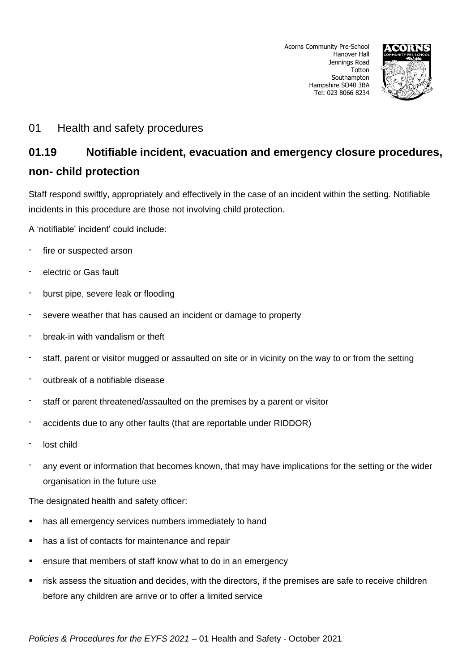

# 01 Health and safety procedures

# **01.19 Notifiable incident, evacuation and emergency closure procedures, non- child protection**

Staff respond swiftly, appropriately and effectively in the case of an incident within the setting. Notifiable incidents in this procedure are those not involving child protection.

A 'notifiable' incident' could include:

- fire or suspected arson
- electric or Gas fault
- burst pipe, severe leak or flooding
- severe weather that has caused an incident or damage to property
- break-in with vandalism or theft
- staff, parent or visitor mugged or assaulted on site or in vicinity on the way to or from the setting
- outbreak of a notifiable disease
- staff or parent threatened/assaulted on the premises by a parent or visitor
- accidents due to any other faults (that are reportable under RIDDOR)
- lost child
- any event or information that becomes known, that may have implications for the setting or the wider organisation in the future use

The designated health and safety officer:

- has all emergency services numbers immediately to hand
- has a list of contacts for maintenance and repair
- ensure that members of staff know what to do in an emergency
- risk assess the situation and decides, with the directors, if the premises are safe to receive children before any children are arrive or to offer a limited service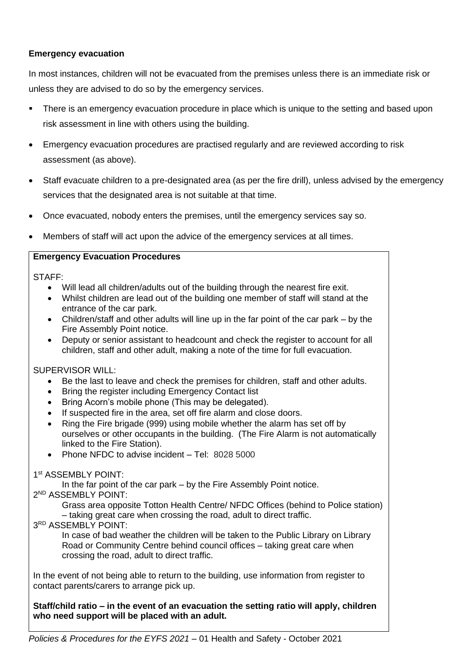### **Emergency evacuation**

In most instances, children will not be evacuated from the premises unless there is an immediate risk or unless they are advised to do so by the emergency services.

- There is an emergency evacuation procedure in place which is unique to the setting and based upon risk assessment in line with others using the building.
- Emergency evacuation procedures are practised regularly and are reviewed according to risk assessment (as above).
- Staff evacuate children to a pre-designated area (as per the fire drill), unless advised by the emergency services that the designated area is not suitable at that time.
- Once evacuated, nobody enters the premises, until the emergency services say so.
- Members of staff will act upon the advice of the emergency services at all times.

### **Emergency Evacuation Procedures**

STAFF:

- Will lead all children/adults out of the building through the nearest fire exit.
- Whilst children are lead out of the building one member of staff will stand at the entrance of the car park.
- Children/staff and other adults will line up in the far point of the car park by the Fire Assembly Point notice.
- Deputy or senior assistant to headcount and check the register to account for all children, staff and other adult, making a note of the time for full evacuation.

### SUPERVISOR WILL:

- Be the last to leave and check the premises for children, staff and other adults.
- Bring the register including Emergency Contact list
- Bring Acorn's mobile phone (This may be delegated).
- If suspected fire in the area, set off fire alarm and close doors.
- Ring the Fire brigade (999) using mobile whether the alarm has set off by ourselves or other occupants in the building. (The Fire Alarm is not automatically linked to the Fire Station).
- Phone NFDC to advise incident Tel: 8028 5000

#### 1 st ASSEMBLY POINT:

In the far point of the car park – by the Fire Assembly Point notice. 2 ND ASSEMBLY POINT:

Grass area opposite Totton Health Centre/ NFDC Offices (behind to Police station) – taking great care when crossing the road, adult to direct traffic.

#### 3 RD ASSEMBLY POINT:

In case of bad weather the children will be taken to the Public Library on Library Road or Community Centre behind council offices – taking great care when crossing the road, adult to direct traffic.

In the event of not being able to return to the building, use information from register to contact parents/carers to arrange pick up.

**Staff/child ratio – in the event of an evacuation the setting ratio will apply, children who need support will be placed with an adult.**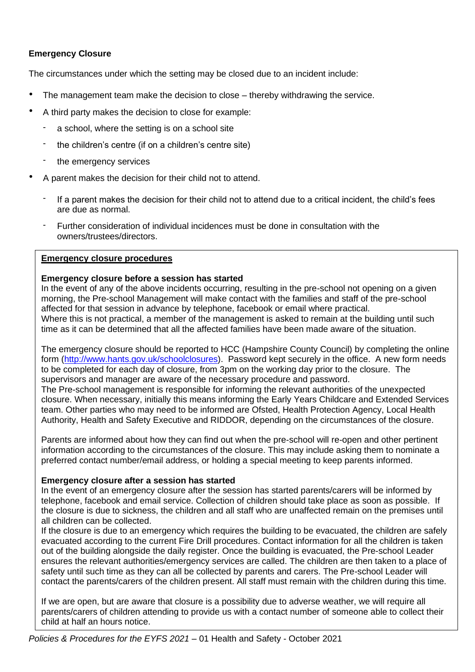### **Emergency Closure**

The circumstances under which the setting may be closed due to an incident include:

- The management team make the decision to close thereby withdrawing the service.
- A third party makes the decision to close for example:
	- a school, where the setting is on a school site
	- the children's centre (if on a children's centre site)
	- the emergency services
- A parent makes the decision for their child not to attend.
	- If a parent makes the decision for their child not to attend due to a critical incident, the child's fees are due as normal.
	- Further consideration of individual incidences must be done in consultation with the owners/trustees/directors.

### **Emergency closure procedures**

#### **Emergency closure before a session has started**

In the event of any of the above incidents occurring, resulting in the pre-school not opening on a given morning, the Pre-school Management will make contact with the families and staff of the pre-school affected for that session in advance by telephone, facebook or email where practical. Where this is not practical, a member of the management is asked to remain at the building until such time as it can be determined that all the affected families have been made aware of the situation.

The emergency closure should be reported to HCC (Hampshire County Council) by completing the online form [\(http://www.hants.gov.uk/schoolclosures\)](http://www.hants.gov.uk/schoolclosures). Password kept securely in the office. A new form needs to be completed for each day of closure, from 3pm on the working day prior to the closure. The supervisors and manager are aware of the necessary procedure and password.

The Pre-school management is responsible for informing the relevant authorities of the unexpected closure. When necessary, initially this means informing the Early Years Childcare and Extended Services team. Other parties who may need to be informed are Ofsted, Health Protection Agency, Local Health Authority, Health and Safety Executive and RIDDOR, depending on the circumstances of the closure.

Parents are informed about how they can find out when the pre-school will re-open and other pertinent information according to the circumstances of the closure. This may include asking them to nominate a preferred contact number/email address, or holding a special meeting to keep parents informed.

#### **Emergency closure after a session has started**

In the event of an emergency closure after the session has started parents/carers will be informed by telephone, facebook and email service. Collection of children should take place as soon as possible. If the closure is due to sickness, the children and all staff who are unaffected remain on the premises until all children can be collected.

If the closure is due to an emergency which requires the building to be evacuated, the children are safely evacuated according to the current Fire Drill procedures. Contact information for all the children is taken out of the building alongside the daily register. Once the building is evacuated, the Pre-school Leader ensures the relevant authorities/emergency services are called. The children are then taken to a place of safety until such time as they can all be collected by parents and carers. The Pre-school Leader will contact the parents/carers of the children present. All staff must remain with the children during this time.

If we are open, but are aware that closure is a possibility due to adverse weather, we will require all parents/carers of children attending to provide us with a contact number of someone able to collect their child at half an hours notice.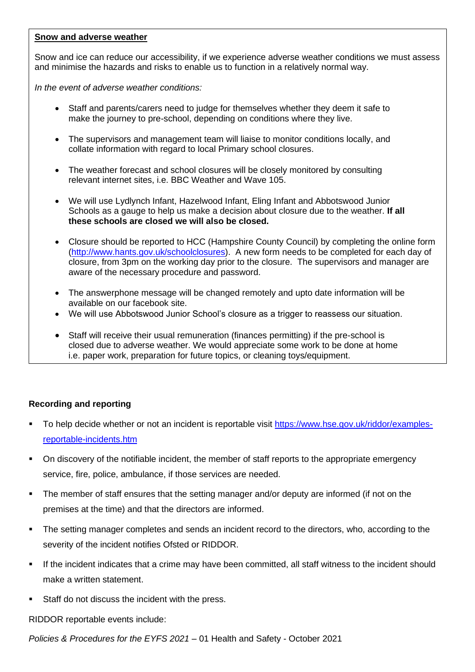#### **Snow and adverse weather**

Snow and ice can reduce our accessibility, if we experience adverse weather conditions we must assess and minimise the hazards and risks to enable us to function in a relatively normal way.

*In the event of adverse weather conditions:*

- Staff and parents/carers need to judge for themselves whether they deem it safe to make the journey to pre-school, depending on conditions where they live.
- The supervisors and management team will liaise to monitor conditions locally, and collate information with regard to local Primary school closures.
- The weather forecast and school closures will be closely monitored by consulting relevant internet sites, i.e. BBC Weather and Wave 105.
- We will use Lydlynch Infant, Hazelwood Infant, Eling Infant and Abbotswood Junior Schools as a gauge to help us make a decision about closure due to the weather. **If all these schools are closed we will also be closed.**
- Closure should be reported to HCC (Hampshire County Council) by completing the online form [\(http://www.hants.gov.uk/schoolclosures\)](http://www.hants.gov.uk/schoolclosures). A new form needs to be completed for each day of closure, from 3pm on the working day prior to the closure. The supervisors and manager are aware of the necessary procedure and password.
- The answerphone message will be changed remotely and upto date information will be available on our facebook site.
- We will use Abbotswood Junior School's closure as a trigger to reassess our situation.
- Staff will receive their usual remuneration (finances permitting) if the pre-school is closed due to adverse weather. We would appreciate some work to be done at home i.e. paper work, preparation for future topics, or cleaning toys/equipment.

### **Recording and reporting**

- To help decide whether or not an incident is reportable visit [https://www.hse.gov.uk/riddor/examples](https://www.hse.gov.uk/riddor/examples-reportable-incidents.htm)[reportable-incidents.htm](https://www.hse.gov.uk/riddor/examples-reportable-incidents.htm)
- On discovery of the notifiable incident, the member of staff reports to the appropriate emergency service, fire, police, ambulance, if those services are needed.
- The member of staff ensures that the setting manager and/or deputy are informed (if not on the premises at the time) and that the directors are informed.
- The setting manager completes and sends an incident record to the directors, who, according to the severity of the incident notifies Ofsted or RIDDOR.
- If the incident indicates that a crime may have been committed, all staff witness to the incident should make a written statement.
- Staff do not discuss the incident with the press.

RIDDOR reportable events include: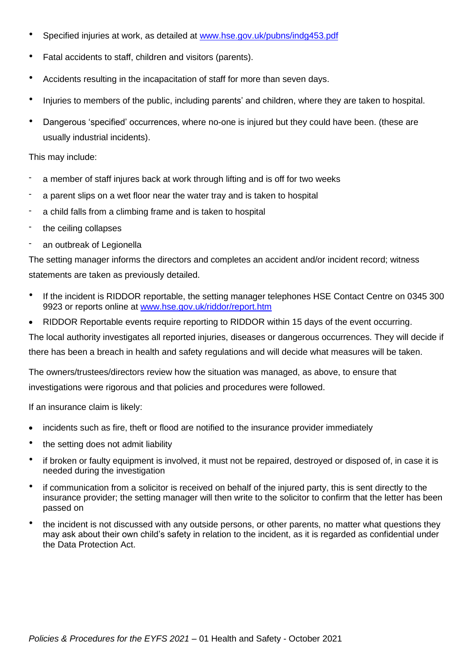- Specified injuries at work, as detailed at [www.hse.gov.uk/pubns/indg453.pdf](http://www.hse.gov.uk/pubns/indg453.pdf)
- Fatal accidents to staff, children and visitors (parents).
- Accidents resulting in the incapacitation of staff for more than seven days.
- Injuries to members of the public, including parents' and children, where they are taken to hospital.
- Dangerous 'specified' occurrences, where no-one is injured but they could have been. (these are usually industrial incidents).

This may include:

- a member of staff injures back at work through lifting and is off for two weeks
- a parent slips on a wet floor near the water tray and is taken to hospital
- a child falls from a climbing frame and is taken to hospital
- the ceiling collapses
- an outbreak of Legionella

The setting manager informs the directors and completes an accident and/or incident record; witness statements are taken as previously detailed.

- If the incident is RIDDOR reportable, the setting manager telephones HSE Contact Centre on 0345 300 9923 or reports online at [www.hse.gov.uk/riddor/report.htm](http://www.hse.gov.uk/riddor/report.htm)
- RIDDOR Reportable events require reporting to RIDDOR within 15 days of the event occurring.

The local authority investigates all reported injuries, diseases or dangerous occurrences. They will decide if there has been a breach in health and safety regulations and will decide what measures will be taken.

The owners/trustees/directors review how the situation was managed, as above, to ensure that investigations were rigorous and that policies and procedures were followed.

If an insurance claim is likely:

- incidents such as fire, theft or flood are notified to the insurance provider immediately
- the setting does not admit liability
- if broken or faulty equipment is involved, it must not be repaired, destroyed or disposed of, in case it is needed during the investigation
- if communication from a solicitor is received on behalf of the injured party, this is sent directly to the insurance provider; the setting manager will then write to the solicitor to confirm that the letter has been passed on
- the incident is not discussed with any outside persons, or other parents, no matter what questions they may ask about their own child's safety in relation to the incident, as it is regarded as confidential under the Data Protection Act.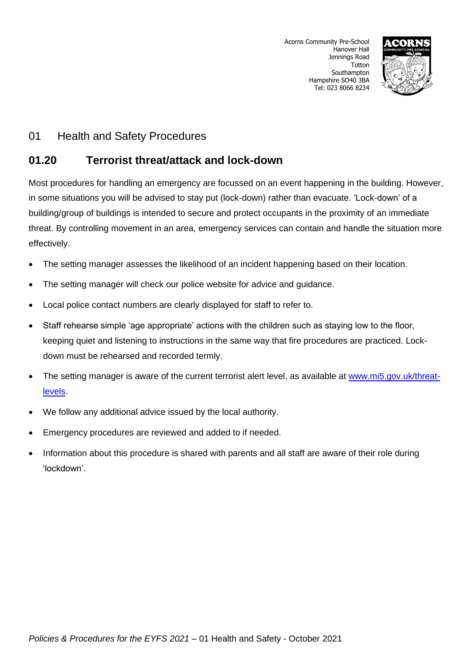

# 01 Health and Safety Procedures

# **01.20 Terrorist threat/attack and lock-down**

Most procedures for handling an emergency are focussed on an event happening in the building. However, in some situations you will be advised to stay put (lock-down) rather than evacuate. 'Lock-down' of a building/group of buildings is intended to secure and protect occupants in the proximity of an immediate threat. By controlling movement in an area, emergency services can contain and handle the situation more effectively.

- The setting manager assesses the likelihood of an incident happening based on their location.
- The setting manager will check our police website for advice and guidance.
- Local police contact numbers are clearly displayed for staff to refer to.
- Staff rehearse simple 'age appropriate' actions with the children such as staying low to the floor, keeping quiet and listening to instructions in the same way that fire procedures are practiced. Lockdown must be rehearsed and recorded termly.
- The setting manager is aware of the current terrorist alert level, as available at [www.mi5.gov.uk/threat](http://www.mi5.gov.uk/threat-levels)[levels.](http://www.mi5.gov.uk/threat-levels)
- We follow any additional advice issued by the local authority.
- Emergency procedures are reviewed and added to if needed.
- Information about this procedure is shared with parents and all staff are aware of their role during 'lockdown'.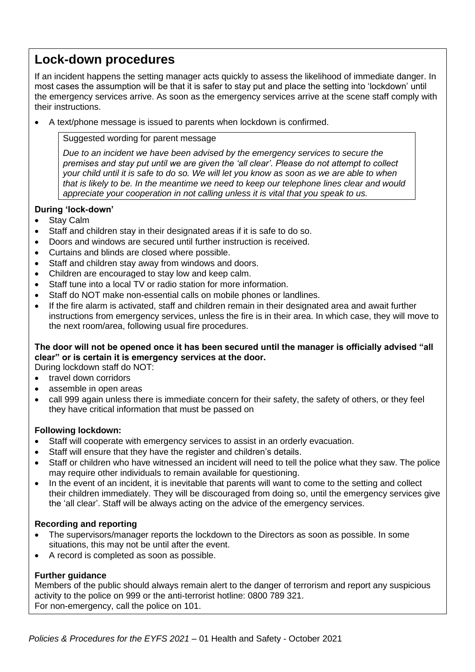# **Lock-down procedures**

If an incident happens the setting manager acts quickly to assess the likelihood of immediate danger. In most cases the assumption will be that it is safer to stay put and place the setting into 'lockdown' until the emergency services arrive. As soon as the emergency services arrive at the scene staff comply with their instructions.

• A text/phone message is issued to parents when lockdown is confirmed.

Suggested wording for parent message

*Due to an incident we have been advised by the emergency services to secure the premises and stay put until we are given the 'all clear'. Please do not attempt to collect your child until it is safe to do so. We will let you know as soon as we are able to when that is likely to be. In the meantime we need to keep our telephone lines clear and would appreciate your cooperation in not calling unless it is vital that you speak to us.*

### **During 'lock-down'**

- Stay Calm
- Staff and children stay in their designated areas if it is safe to do so.
- Doors and windows are secured until further instruction is received.
- Curtains and blinds are closed where possible.
- Staff and children stay away from windows and doors.
- Children are encouraged to stay low and keep calm.
- Staff tune into a local TV or radio station for more information.
- Staff do NOT make non-essential calls on mobile phones or landlines.
- If the fire alarm is activated, staff and children remain in their designated area and await further instructions from emergency services, unless the fire is in their area. In which case, they will move to the next room/area, following usual fire procedures.

### **The door will not be opened once it has been secured until the manager is officially advised "all clear" or is certain it is emergency services at the door.**

During lockdown staff do NOT:

- travel down corridors
- assemble in open areas
- call 999 again unless there is immediate concern for their safety, the safety of others, or they feel they have critical information that must be passed on

### **Following lockdown:**

- Staff will cooperate with emergency services to assist in an orderly evacuation.
- Staff will ensure that they have the register and children's details.
- Staff or children who have witnessed an incident will need to tell the police what they saw. The police may require other individuals to remain available for questioning.
- In the event of an incident, it is inevitable that parents will want to come to the setting and collect their children immediately. They will be discouraged from doing so, until the emergency services give the 'all clear'. Staff will be always acting on the advice of the emergency services.

#### **Recording and reporting**

- The supervisors/manager reports the lockdown to the Directors as soon as possible. In some situations, this may not be until after the event.
- A record is completed as soon as possible.

### **Further guidance**

Members of the public should always remain alert to the danger of terrorism and report any suspicious activity to the police on 999 or the anti-terrorist hotline: 0800 789 321. For non-emergency, call the police on 101.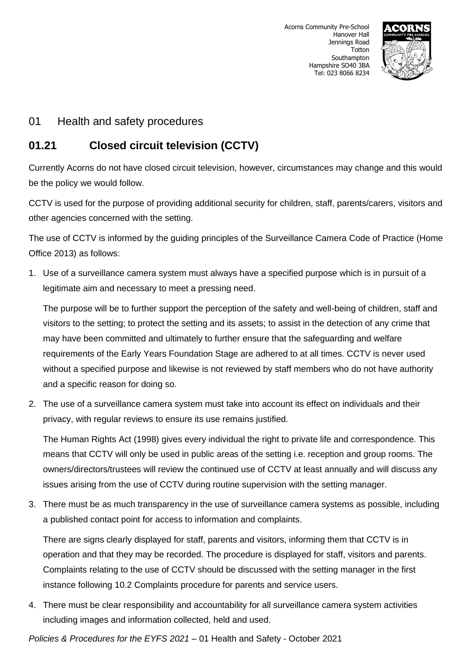

## 01 Health and safety procedures

# **01.21 Closed circuit television (CCTV)**

Currently Acorns do not have closed circuit television, however, circumstances may change and this would be the policy we would follow.

CCTV is used for the purpose of providing additional security for children, staff, parents/carers, visitors and other agencies concerned with the setting.

The use of CCTV is informed by the guiding principles of the Surveillance Camera Code of Practice (Home Office 2013) as follows:

1. Use of a surveillance camera system must always have a specified purpose which is in pursuit of a legitimate aim and necessary to meet a pressing need.

The purpose will be to further support the perception of the safety and well-being of children, staff and visitors to the setting; to protect the setting and its assets; to assist in the detection of any crime that may have been committed and ultimately to further ensure that the safeguarding and welfare requirements of the Early Years Foundation Stage are adhered to at all times. CCTV is never used without a specified purpose and likewise is not reviewed by staff members who do not have authority and a specific reason for doing so.

2. The use of a surveillance camera system must take into account its effect on individuals and their privacy, with regular reviews to ensure its use remains justified.

The Human Rights Act (1998) gives every individual the right to private life and correspondence. This means that CCTV will only be used in public areas of the setting i.e. reception and group rooms. The owners/directors/trustees will review the continued use of CCTV at least annually and will discuss any issues arising from the use of CCTV during routine supervision with the setting manager.

3. There must be as much transparency in the use of surveillance camera systems as possible, including a published contact point for access to information and complaints.

There are signs clearly displayed for staff, parents and visitors, informing them that CCTV is in operation and that they may be recorded. The procedure is displayed for staff, visitors and parents. Complaints relating to the use of CCTV should be discussed with the setting manager in the first instance following 10.2 Complaints procedure for parents and service users.

4. There must be clear responsibility and accountability for all surveillance camera system activities including images and information collected, held and used.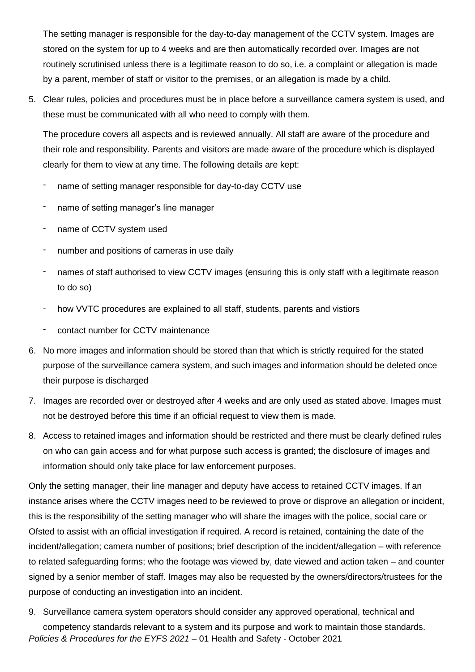The setting manager is responsible for the day-to-day management of the CCTV system. Images are stored on the system for up to 4 weeks and are then automatically recorded over. Images are not routinely scrutinised unless there is a legitimate reason to do so, i.e. a complaint or allegation is made by a parent, member of staff or visitor to the premises, or an allegation is made by a child.

5. Clear rules, policies and procedures must be in place before a surveillance camera system is used, and these must be communicated with all who need to comply with them.

The procedure covers all aspects and is reviewed annually. All staff are aware of the procedure and their role and responsibility. Parents and visitors are made aware of the procedure which is displayed clearly for them to view at any time. The following details are kept:

- name of setting manager responsible for day-to-day CCTV use
- name of setting manager's line manager
- name of CCTV system used
- number and positions of cameras in use daily
- names of staff authorised to view CCTV images (ensuring this is only staff with a legitimate reason to do so)
- how VVTC procedures are explained to all staff, students, parents and vistiors
- contact number for CCTV maintenance
- 6. No more images and information should be stored than that which is strictly required for the stated purpose of the surveillance camera system, and such images and information should be deleted once their purpose is discharged
- 7. Images are recorded over or destroyed after 4 weeks and are only used as stated above. Images must not be destroyed before this time if an official request to view them is made.
- 8. Access to retained images and information should be restricted and there must be clearly defined rules on who can gain access and for what purpose such access is granted; the disclosure of images and information should only take place for law enforcement purposes.

Only the setting manager, their line manager and deputy have access to retained CCTV images. If an instance arises where the CCTV images need to be reviewed to prove or disprove an allegation or incident, this is the responsibility of the setting manager who will share the images with the police, social care or Ofsted to assist with an official investigation if required. A record is retained, containing the date of the incident/allegation; camera number of positions; brief description of the incident/allegation – with reference to related safeguarding forms; who the footage was viewed by, date viewed and action taken – and counter signed by a senior member of staff. Images may also be requested by the owners/directors/trustees for the purpose of conducting an investigation into an incident.

*Policies & Procedures for the EYFS 2021* – 01 Health and Safety - October 2021 9. Surveillance camera system operators should consider any approved operational, technical and competency standards relevant to a system and its purpose and work to maintain those standards.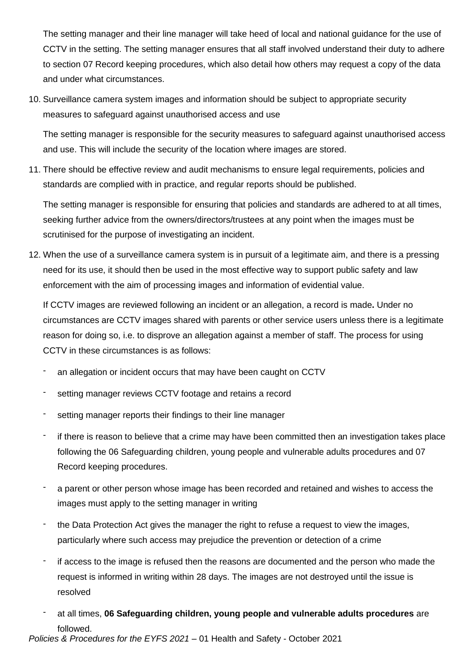The setting manager and their line manager will take heed of local and national guidance for the use of CCTV in the setting. The setting manager ensures that all staff involved understand their duty to adhere to section 07 Record keeping procedures, which also detail how others may request a copy of the data and under what circumstances.

10. Surveillance camera system images and information should be subject to appropriate security measures to safeguard against unauthorised access and use

The setting manager is responsible for the security measures to safeguard against unauthorised access and use. This will include the security of the location where images are stored.

11. There should be effective review and audit mechanisms to ensure legal requirements, policies and standards are complied with in practice, and regular reports should be published.

The setting manager is responsible for ensuring that policies and standards are adhered to at all times, seeking further advice from the owners/directors/trustees at any point when the images must be scrutinised for the purpose of investigating an incident.

12. When the use of a surveillance camera system is in pursuit of a legitimate aim, and there is a pressing need for its use, it should then be used in the most effective way to support public safety and law enforcement with the aim of processing images and information of evidential value.

If CCTV images are reviewed following an incident or an allegation, a record is made**.** Under no circumstances are CCTV images shared with parents or other service users unless there is a legitimate reason for doing so, i.e. to disprove an allegation against a member of staff. The process for using CCTV in these circumstances is as follows:

- an allegation or incident occurs that may have been caught on CCTV
- setting manager reviews CCTV footage and retains a record
- setting manager reports their findings to their line manager
- if there is reason to believe that a crime may have been committed then an investigation takes place following the 06 Safeguarding children, young people and vulnerable adults procedures and 07 Record keeping procedures.
- a parent or other person whose image has been recorded and retained and wishes to access the images must apply to the setting manager in writing
- the Data Protection Act gives the manager the right to refuse a request to view the images, particularly where such access may prejudice the prevention or detection of a crime
- if access to the image is refused then the reasons are documented and the person who made the request is informed in writing within 28 days. The images are not destroyed until the issue is resolved
- at all times, **06 Safeguarding children, young people and vulnerable adults procedures** are followed.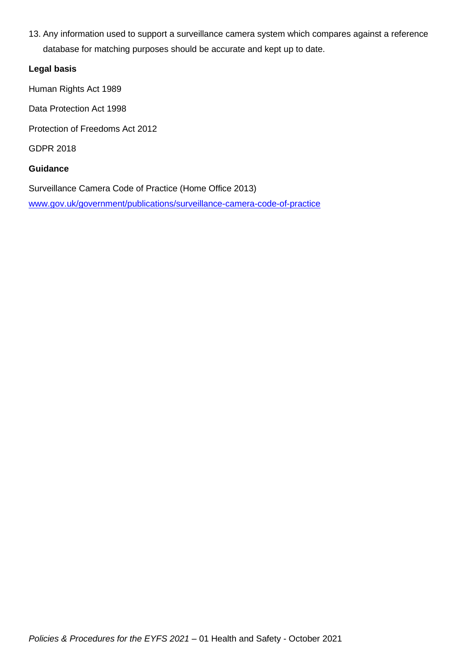13. Any information used to support a surveillance camera system which compares against a reference database for matching purposes should be accurate and kept up to date.

### **Legal basis**

Human Rights Act 1989

Data Protection Act 1998

Protection of Freedoms Act 2012

GDPR 2018

### **Guidance**

Surveillance Camera Code of Practice (Home Office 2013)

[www.gov.uk/government/publications/surveillance-camera-code-of-practice](http://www.gov.uk/government/publications/surveillance-camera-code-of-practice)